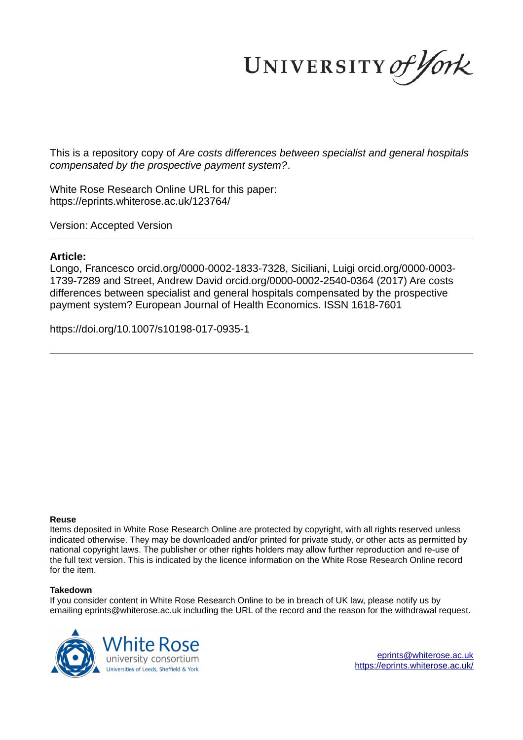UNIVERSITY of York

This is a repository copy of *Are costs differences between specialist and general hospitals compensated by the prospective payment system?*.

White Rose Research Online URL for this paper: https://eprints.whiterose.ac.uk/123764/

Version: Accepted Version

# **Article:**

Longo, Francesco orcid.org/0000-0002-1833-7328, Siciliani, Luigi orcid.org/0000-0003- 1739-7289 and Street, Andrew David orcid.org/0000-0002-2540-0364 (2017) Are costs differences between specialist and general hospitals compensated by the prospective payment system? European Journal of Health Economics. ISSN 1618-7601

https://doi.org/10.1007/s10198-017-0935-1

#### **Reuse**

Items deposited in White Rose Research Online are protected by copyright, with all rights reserved unless indicated otherwise. They may be downloaded and/or printed for private study, or other acts as permitted by national copyright laws. The publisher or other rights holders may allow further reproduction and re-use of the full text version. This is indicated by the licence information on the White Rose Research Online record for the item.

#### **Takedown**

If you consider content in White Rose Research Online to be in breach of UK law, please notify us by emailing eprints@whiterose.ac.uk including the URL of the record and the reason for the withdrawal request.

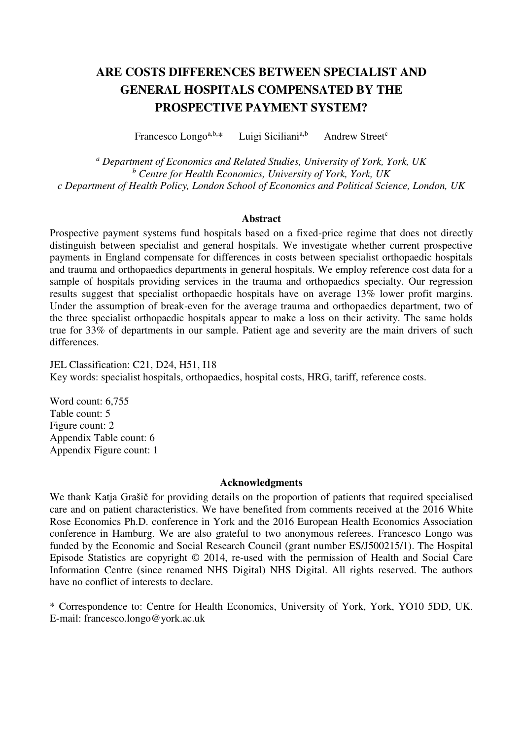# **ARE COSTS DIFFERENCES BETWEEN SPECIALIST AND GENERAL HOSPITALS COMPENSATED BY THE PROSPECTIVE PAYMENT SYSTEM?**

Francesco Longo<sup>a,b,\*</sup> Luigi Siciliani<sup>a,b</sup> Andrew Street<sup>c</sup>

*a Department of Economics and Related Studies, University of York, York, UK b Centre for Health Economics, University of York, York, UK c Department of Health Policy, London School of Economics and Political Science, London, UK*

## **Abstract**

Prospective payment systems fund hospitals based on a fixed-price regime that does not directly distinguish between specialist and general hospitals. We investigate whether current prospective payments in England compensate for differences in costs between specialist orthopaedic hospitals and trauma and orthopaedics departments in general hospitals. We employ reference cost data for a sample of hospitals providing services in the trauma and orthopaedics specialty. Our regression results suggest that specialist orthopaedic hospitals have on average 13% lower profit margins. Under the assumption of break-even for the average trauma and orthopaedics department, two of the three specialist orthopaedic hospitals appear to make a loss on their activity. The same holds true for 33% of departments in our sample. Patient age and severity are the main drivers of such differences.

JEL Classification: C21, D24, H51, I18 Key words: specialist hospitals, orthopaedics, hospital costs, HRG, tariff, reference costs.

Word count: 6,755 Table count: 5 Figure count: 2 Appendix Table count: 6 Appendix Figure count: 1

#### **Acknowledgments**

We thank Katja Grašič for providing details on the proportion of patients that required specialised care and on patient characteristics. We have benefited from comments received at the 2016 White Rose Economics Ph.D. conference in York and the 2016 European Health Economics Association conference in Hamburg. We are also grateful to two anonymous referees. Francesco Longo was funded by the Economic and Social Research Council (grant number ES/J500215/1). The Hospital Episode Statistics are copyright © 2014, re-used with the permission of Health and Social Care Information Centre (since renamed NHS Digital) NHS Digital. All rights reserved. The authors have no conflict of interests to declare.

\* Correspondence to: Centre for Health Economics, University of York, York, YO10 5DD, UK. E-mail: francesco.longo@york.ac.uk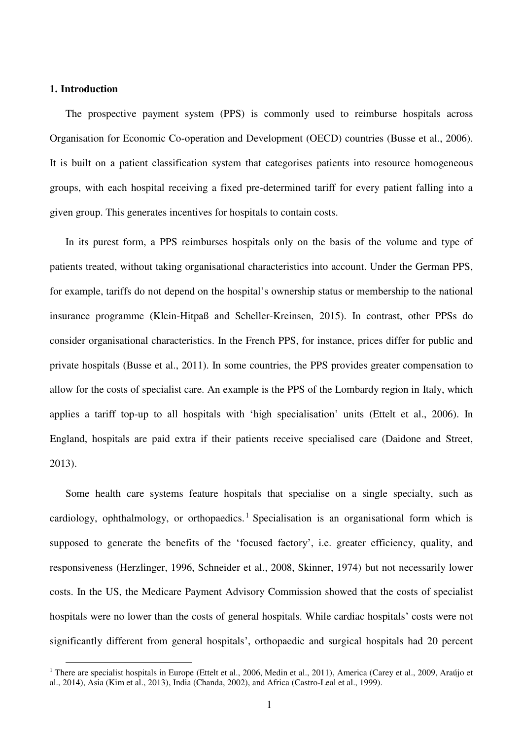## **1. Introduction**

 $\overline{a}$ 

The prospective payment system (PPS) is commonly used to reimburse hospitals across Organisation for Economic Co-operation and Development (OECD) countries (Busse et al., 2006). It is built on a patient classification system that categorises patients into resource homogeneous groups, with each hospital receiving a fixed pre-determined tariff for every patient falling into a given group. This generates incentives for hospitals to contain costs.

In its purest form, a PPS reimburses hospitals only on the basis of the volume and type of patients treated, without taking organisational characteristics into account. Under the German PPS, for example, tariffs do not depend on the hospital's ownership status or membership to the national insurance programme (Klein-Hitpaß and Scheller-Kreinsen, 2015). In contrast, other PPSs do consider organisational characteristics. In the French PPS, for instance, prices differ for public and private hospitals (Busse et al., 2011). In some countries, the PPS provides greater compensation to allow for the costs of specialist care. An example is the PPS of the Lombardy region in Italy, which applies a tariff top-up to all hospitals with 'high specialisation' units (Ettelt et al., 2006). In England, hospitals are paid extra if their patients receive specialised care (Daidone and Street, 2013).

Some health care systems feature hospitals that specialise on a single specialty, such as cardiology, ophthalmology, or orthopaedics.<sup>1</sup> Specialisation is an organisational form which is supposed to generate the benefits of the 'focused factory', i.e. greater efficiency, quality, and responsiveness (Herzlinger, 1996, Schneider et al., 2008, Skinner, 1974) but not necessarily lower costs. In the US, the Medicare Payment Advisory Commission showed that the costs of specialist hospitals were no lower than the costs of general hospitals. While cardiac hospitals' costs were not significantly different from general hospitals', orthopaedic and surgical hospitals had 20 percent

<sup>&</sup>lt;sup>1</sup> There are specialist hospitals in Europe (Ettelt et al., 2006, Medin et al., 2011), America (Carey et al., 2009, Araújo et al., 2014), Asia (Kim et al., 2013), India (Chanda, 2002), and Africa (Castro-Leal et al., 1999).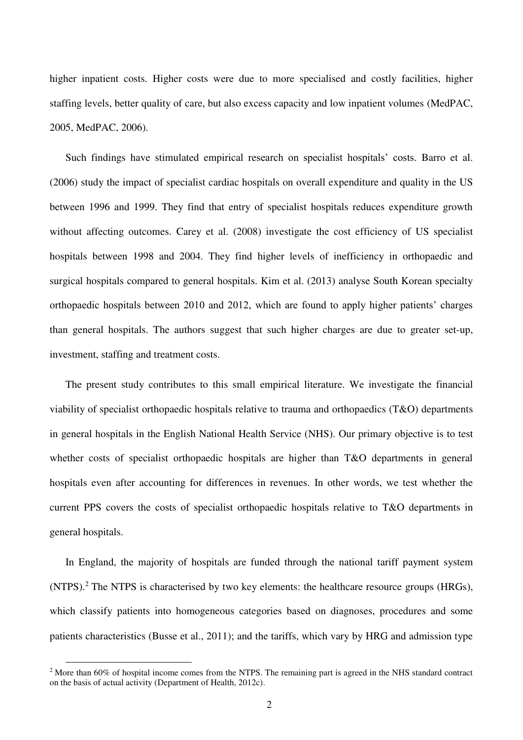higher inpatient costs. Higher costs were due to more specialised and costly facilities, higher staffing levels, better quality of care, but also excess capacity and low inpatient volumes (MedPAC, 2005, MedPAC, 2006).

Such findings have stimulated empirical research on specialist hospitals' costs. Barro et al. (2006) study the impact of specialist cardiac hospitals on overall expenditure and quality in the US between 1996 and 1999. They find that entry of specialist hospitals reduces expenditure growth without affecting outcomes. Carey et al. (2008) investigate the cost efficiency of US specialist hospitals between 1998 and 2004. They find higher levels of inefficiency in orthopaedic and surgical hospitals compared to general hospitals. Kim et al. (2013) analyse South Korean specialty orthopaedic hospitals between 2010 and 2012, which are found to apply higher patients' charges than general hospitals. The authors suggest that such higher charges are due to greater set-up, investment, staffing and treatment costs.

The present study contributes to this small empirical literature. We investigate the financial viability of specialist orthopaedic hospitals relative to trauma and orthopaedics (T&O) departments in general hospitals in the English National Health Service (NHS). Our primary objective is to test whether costs of specialist orthopaedic hospitals are higher than T&O departments in general hospitals even after accounting for differences in revenues. In other words, we test whether the current PPS covers the costs of specialist orthopaedic hospitals relative to T&O departments in general hospitals.

In England, the majority of hospitals are funded through the national tariff payment system (NTPS).<sup>2</sup> The NTPS is characterised by two key elements: the healthcare resource groups (HRGs), which classify patients into homogeneous categories based on diagnoses, procedures and some patients characteristics (Busse et al., 2011); and the tariffs, which vary by HRG and admission type

 $\overline{a}$ 

<sup>&</sup>lt;sup>2</sup> More than 60% of hospital income comes from the NTPS. The remaining part is agreed in the NHS standard contract on the basis of actual activity (Department of Health, 2012c).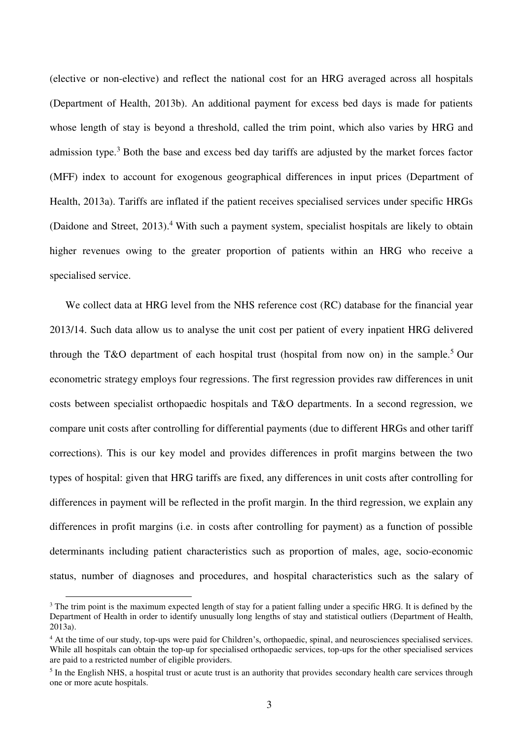(elective or non-elective) and reflect the national cost for an HRG averaged across all hospitals (Department of Health, 2013b). An additional payment for excess bed days is made for patients whose length of stay is beyond a threshold, called the trim point, which also varies by HRG and admission type.<sup>3</sup> Both the base and excess bed day tariffs are adjusted by the market forces factor (MFF) index to account for exogenous geographical differences in input prices (Department of Health, 2013a). Tariffs are inflated if the patient receives specialised services under specific HRGs (Daidone and Street, 2013).<sup>4</sup> With such a payment system, specialist hospitals are likely to obtain higher revenues owing to the greater proportion of patients within an HRG who receive a specialised service.

We collect data at HRG level from the NHS reference cost (RC) database for the financial year 2013/14. Such data allow us to analyse the unit cost per patient of every inpatient HRG delivered through the T&O department of each hospital trust (hospital from now on) in the sample.<sup>5</sup> Our econometric strategy employs four regressions. The first regression provides raw differences in unit costs between specialist orthopaedic hospitals and T&O departments. In a second regression, we compare unit costs after controlling for differential payments (due to different HRGs and other tariff corrections). This is our key model and provides differences in profit margins between the two types of hospital: given that HRG tariffs are fixed, any differences in unit costs after controlling for differences in payment will be reflected in the profit margin. In the third regression, we explain any differences in profit margins (i.e. in costs after controlling for payment) as a function of possible determinants including patient characteristics such as proportion of males, age, socio-economic status, number of diagnoses and procedures, and hospital characteristics such as the salary of

 $\overline{a}$ 

<sup>&</sup>lt;sup>3</sup> The trim point is the maximum expected length of stay for a patient falling under a specific HRG. It is defined by the Department of Health in order to identify unusually long lengths of stay and statistical outliers (Department of Health, 2013a).

<sup>&</sup>lt;sup>4</sup> At the time of our study, top-ups were paid for Children's, orthopaedic, spinal, and neurosciences specialised services. While all hospitals can obtain the top-up for specialised orthopaedic services, top-ups for the other specialised services are paid to a restricted number of eligible providers.

<sup>&</sup>lt;sup>5</sup> In the English NHS, a hospital trust or acute trust is an authority that provides secondary health care services through one or more acute hospitals.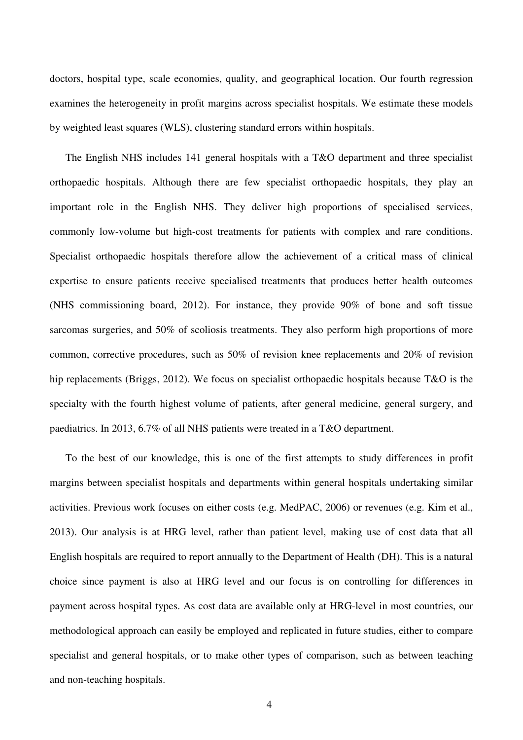doctors, hospital type, scale economies, quality, and geographical location. Our fourth regression examines the heterogeneity in profit margins across specialist hospitals. We estimate these models by weighted least squares (WLS), clustering standard errors within hospitals.

The English NHS includes 141 general hospitals with a T&O department and three specialist orthopaedic hospitals. Although there are few specialist orthopaedic hospitals, they play an important role in the English NHS. They deliver high proportions of specialised services, commonly low-volume but high-cost treatments for patients with complex and rare conditions. Specialist orthopaedic hospitals therefore allow the achievement of a critical mass of clinical expertise to ensure patients receive specialised treatments that produces better health outcomes (NHS commissioning board, 2012). For instance, they provide 90% of bone and soft tissue sarcomas surgeries, and 50% of scoliosis treatments. They also perform high proportions of more common, corrective procedures, such as 50% of revision knee replacements and 20% of revision hip replacements (Briggs, 2012). We focus on specialist orthopaedic hospitals because T&O is the specialty with the fourth highest volume of patients, after general medicine, general surgery, and paediatrics. In 2013, 6.7% of all NHS patients were treated in a T&O department.

To the best of our knowledge, this is one of the first attempts to study differences in profit margins between specialist hospitals and departments within general hospitals undertaking similar activities. Previous work focuses on either costs (e.g. MedPAC, 2006) or revenues (e.g. Kim et al., 2013). Our analysis is at HRG level, rather than patient level, making use of cost data that all English hospitals are required to report annually to the Department of Health (DH). This is a natural choice since payment is also at HRG level and our focus is on controlling for differences in payment across hospital types. As cost data are available only at HRG-level in most countries, our methodological approach can easily be employed and replicated in future studies, either to compare specialist and general hospitals, or to make other types of comparison, such as between teaching and non-teaching hospitals.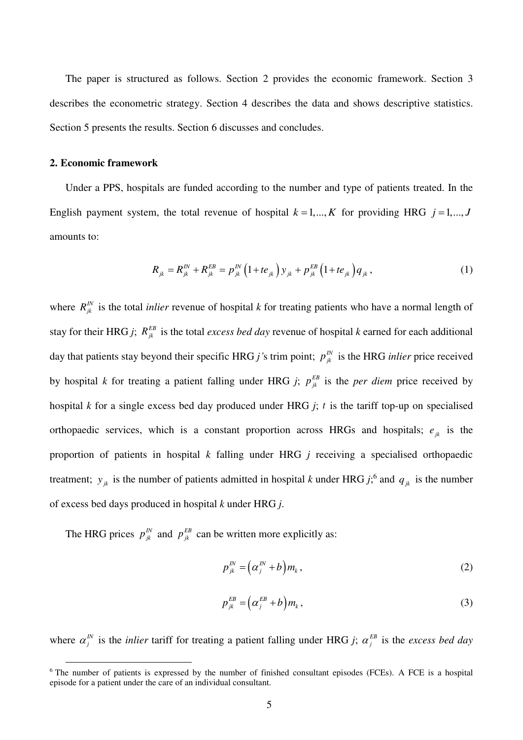The paper is structured as follows. Section [2](#page-6-0) provides the economic framework. Section [3](#page-8-0)  describes the econometric strategy. Section [4](#page-12-0) describes the data and shows descriptive statistics. Section [5](#page-15-0) presents the results. Section [6](#page-19-0) discusses and concludes.

## <span id="page-6-0"></span>**2. Economic framework**

 $\overline{a}$ 

Under a PPS, hospitals are funded according to the number and type of patients treated. In the English payment system, the total revenue of hospital  $k = 1, ..., K$  for providing HRG  $j = 1, ..., J$ amounts to:

$$
R_{jk} = R_{jk}^{IN} + R_{jk}^{EB} = p_{jk}^{IN} (1 + te_{jk}) y_{jk} + p_{jk}^{EB} (1 + te_{jk}) q_{jk}, \qquad (1)
$$

where  $R_{jk}^N$  is the total *inlier* revenue of hospital *k* for treating patients who have a normal length of stay for their HRG *j*;  $R_{jk}^{EB}$  is the total *excess bed day* revenue of hospital *k* earned for each additional day that patients stay beyond their specific HRG *j*'s trim point;  $p_{jk}^{N}$  is the HRG *inlier* price received by hospital *k* for treating a patient falling under HRG *j*;  $p_{jk}^{EB}$  is the *per diem* price received by hospital *k* for a single excess bed day produced under HRG *j*; *t* is the tariff top-up on specialised orthopaedic services, which is a constant proportion across HRGs and hospitals;  $e_{jk}$  is the proportion of patients in hospital *k* falling under HRG *j* receiving a specialised orthopaedic treatment;  $y_{jk}$  is the number of patients admitted in hospital *k* under HRG *j*;<sup>6</sup> and  $q_{jk}$  is the number of excess bed days produced in hospital *k* under HRG *j*.

The HRG prices  $p_{jk}^N$  and  $p_{jk}^{EB}$  can be written more explicitly as:

$$
p_{jk}^{IN} = \left(\alpha_j^{IN} + b\right)m_k, \tag{2}
$$

$$
p_{jk}^{EB} = \left(\alpha_j^{EB} + b\right)m_k, \tag{3}
$$

where  $\alpha_j^N$  is the *inlier* tariff for treating a patient falling under HRG *j*;  $\alpha_j^{EB}$  is the *excess bed day* 

<sup>&</sup>lt;sup>6</sup> The number of patients is expressed by the number of finished consultant episodes (FCEs). A FCE is a hospital episode for a patient under the care of an individual consultant.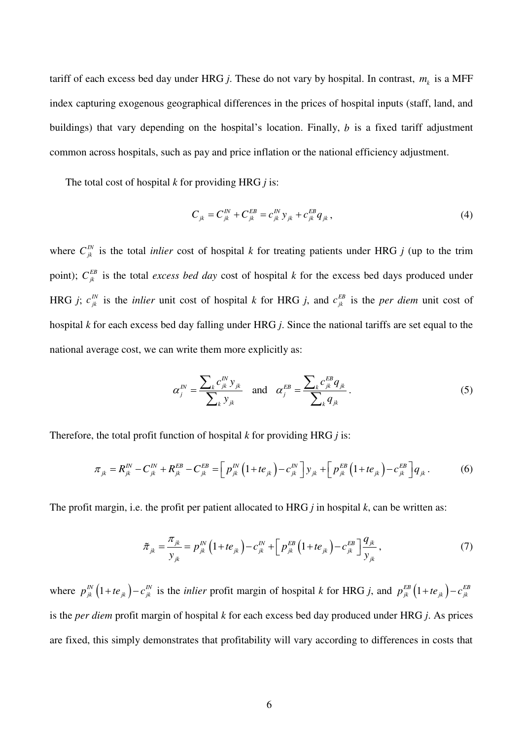tariff of each excess bed day under HRG *j*. These do not vary by hospital. In contrast,  $m_k$  is a MFF index capturing exogenous geographical differences in the prices of hospital inputs (staff, land, and buildings) that vary depending on the hospital's location. Finally, *b* is a fixed tariff adjustment common across hospitals, such as pay and price inflation or the national efficiency adjustment.

The total cost of hospital *k* for providing HRG *j* is:

$$
C_{jk} = C_{jk}^{IN} + C_{jk}^{EB} = c_{jk}^{IN} y_{jk} + c_{jk}^{EB} q_{jk}, \qquad (4)
$$

where  $C_{jk}^{IN}$  is the total *inlier* cost of hospital *k* for treating patients under HRG *j* (up to the trim point);  $C_{jk}^{EB}$  is the total *excess bed day* cost of hospital *k* for the excess bed days produced under HRG *j*;  $c_{jk}^{N}$  is the *inlier* unit cost of hospital *k* for HRG *j*, and  $c_{jk}^{EB}$  is the *per diem* unit cost of hospital *k* for each excess bed day falling under HRG *j*. Since the national tariffs are set equal to the national average cost, we can write them more explicitly as:

$$
\alpha_j^{IN} = \frac{\sum_k c_{jk}^{IN} y_{jk}}{\sum_k y_{jk}} \text{ and } \alpha_j^{EB} = \frac{\sum_k c_{jk}^{EB} q_{jk}}{\sum_k q_{jk}}.
$$
 (5)

Therefore, the total profit function of hospital *k* for providing HRG *j* is:

$$
\pi_{jk} = R_{jk}^{IN} - C_{jk}^{IN} + R_{jk}^{EB} - C_{jk}^{EB} = \left[ p_{jk}^{IN} \left( 1 + te_{jk} \right) - c_{jk}^{IN} \right] y_{jk} + \left[ p_{jk}^{EB} \left( 1 + te_{jk} \right) - c_{jk}^{EB} \right] q_{jk}.
$$
 (6)

The profit margin, i.e. the profit per patient allocated to HRG *j* in hospital *k*, can be written as:

$$
\tilde{\pi}_{jk} = \frac{\pi_{jk}}{y_{jk}} = p_{jk}^{IN} \left( 1 + te_{jk} \right) - c_{jk}^{IN} + \left[ p_{jk}^{EB} \left( 1 + te_{jk} \right) - c_{jk}^{EB} \right] \frac{q_{jk}}{y_{jk}},
$$
\n(7)

where  $p_{jk}^{IN} (1 + t e_{jk}) - c_{jk}^{IN}$  is the *inlier* profit margin of hospital *k* for HRG *j*, and  $p_{jk}^{EB} (1 + t e_{jk}) - c_{jk}^{EB}$ is the *per diem* profit margin of hospital *k* for each excess bed day produced under HRG *j*. As prices are fixed, this simply demonstrates that profitability will vary according to differences in costs that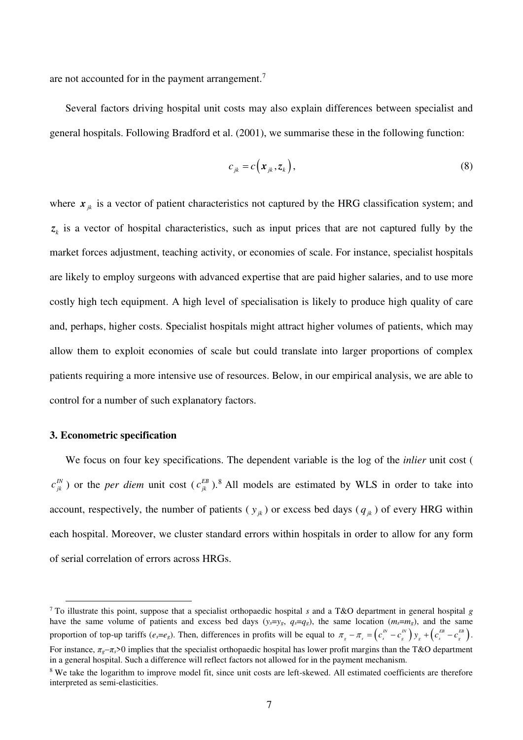are not accounted for in the payment arrangement.<sup>7</sup>

Several factors driving hospital unit costs may also explain differences between specialist and general hospitals. Following Bradford et al. (2001), we summarise these in the following function:

$$
c_{jk} = c(\mathbf{x}_{jk}, \mathbf{z}_k), \tag{8}
$$

where  $x_{jk}$  is a vector of patient characteristics not captured by the HRG classification system; and  $z<sub>k</sub>$  is a vector of hospital characteristics, such as input prices that are not captured fully by the market forces adjustment, teaching activity, or economies of scale. For instance, specialist hospitals are likely to employ surgeons with advanced expertise that are paid higher salaries, and to use more costly high tech equipment. A high level of specialisation is likely to produce high quality of care and, perhaps, higher costs. Specialist hospitals might attract higher volumes of patients, which may allow them to exploit economies of scale but could translate into larger proportions of complex patients requiring a more intensive use of resources. Below, in our empirical analysis, we are able to control for a number of such explanatory factors.

#### <span id="page-8-0"></span>**3. Econometric specification**

 $\overline{a}$ 

We focus on four key specifications. The dependent variable is the log of the *inlier* unit cost (  $c_{jk}^{I N}$ ) or the *per diem* unit cost  $(c_{jk}^{E B})$ .<sup>8</sup> All models are estimated by WLS in order to take into account, respectively, the number of patients ( $y_{ik}$ ) or excess bed days ( $q_{ik}$ ) of every HRG within each hospital. Moreover, we cluster standard errors within hospitals in order to allow for any form of serial correlation of errors across HRGs.

<sup>7</sup> To illustrate this point, suppose that a specialist orthopaedic hospital *s* and a T&O department in general hospital *g* have the same volume of patients and excess bed days  $(y_s = y_g, q_s = q_g)$ , the same location  $(m_s = m_g)$ , and the same proportion of top-up tariffs ( $e_s = e_g$ ). Then, differences in profits will be equal to  $\pi_g - \pi_s = (c_s^N - c_g^N) y_g + (c_s^{EB} - c_g^{EB})$ .  $\pi_{g} - \pi_{g} = (c_{g}^{I N} - c_{g}^{I N}) y_{g} + (c_{g}^{E B} - c_{g}^{E B}).$ For instance,  $\pi_{g} - \pi_{g} > 0$  implies that the specialist orthopaedic hospital has lower profit margins than the T&O department in a general hospital. Such a difference will reflect factors not allowed for in the payment mechanism.

<sup>&</sup>lt;sup>8</sup> We take the logarithm to improve model fit, since unit costs are left-skewed. All estimated coefficients are therefore interpreted as semi-elasticities.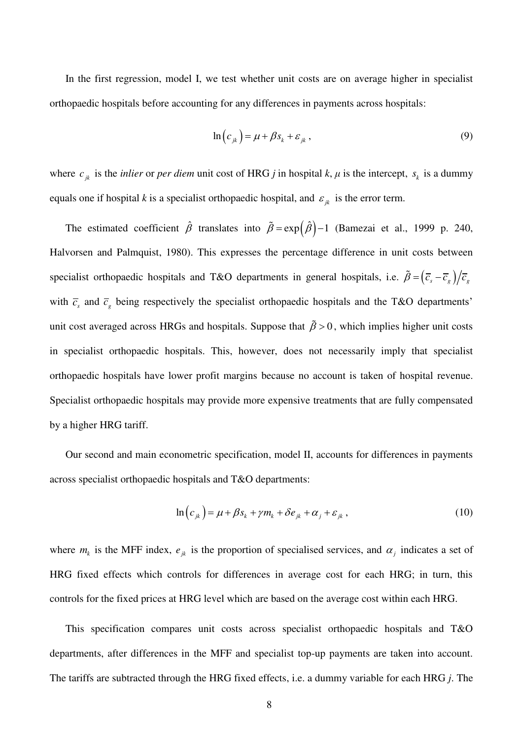In the first regression, model I, we test whether unit costs are on average higher in specialist orthopaedic hospitals before accounting for any differences in payments across hospitals:

$$
\ln\left(c_{jk}\right) = \mu + \beta s_k + \varepsilon_{jk},\tag{9}
$$

where  $c_{jk}$  is the *inlier* or *per diem* unit cost of HRG *j* in hospital *k*,  $\mu$  is the intercept,  $s_k$  is a dummy equals one if hospital *k* is a specialist orthopaedic hospital, and  $\varepsilon_{ik}$  is the error term.

The estimated coefficient  $\hat{\beta}$  translates into  $\tilde{\beta} = \exp(\hat{\beta}) - 1$  (Bamezai et al., 1999 p. 240, Halvorsen and Palmquist, 1980). This expresses the percentage difference in unit costs between specialist orthopaedic hospitals and T&O departments in general hospitals, i.e.  $\tilde{\beta} = (\bar{c}_s - \bar{c}_s)/\bar{c}_s$ with  $\bar{c}_s$  and  $\bar{c}_g$  being respectively the specialist orthopaedic hospitals and the T&O departments' unit cost averaged across HRGs and hospitals. Suppose that  $\tilde{\beta} > 0$ , which implies higher unit costs in specialist orthopaedic hospitals. This, however, does not necessarily imply that specialist orthopaedic hospitals have lower profit margins because no account is taken of hospital revenue. Specialist orthopaedic hospitals may provide more expensive treatments that are fully compensated by a higher HRG tariff.

Our second and main econometric specification, model II, accounts for differences in payments across specialist orthopaedic hospitals and T&O departments:

$$
\ln(c_{jk}) = \mu + \beta s_k + \gamma m_k + \delta e_{jk} + \alpha_j + \varepsilon_{jk}, \qquad (10)
$$

where  $m_k$  is the MFF index,  $e_{jk}$  is the proportion of specialised services, and  $\alpha_j$  indicates a set of HRG fixed effects which controls for differences in average cost for each HRG; in turn, this controls for the fixed prices at HRG level which are based on the average cost within each HRG.

This specification compares unit costs across specialist orthopaedic hospitals and T&O departments, after differences in the MFF and specialist top-up payments are taken into account. The tariffs are subtracted through the HRG fixed effects, i.e. a dummy variable for each HRG *j*. The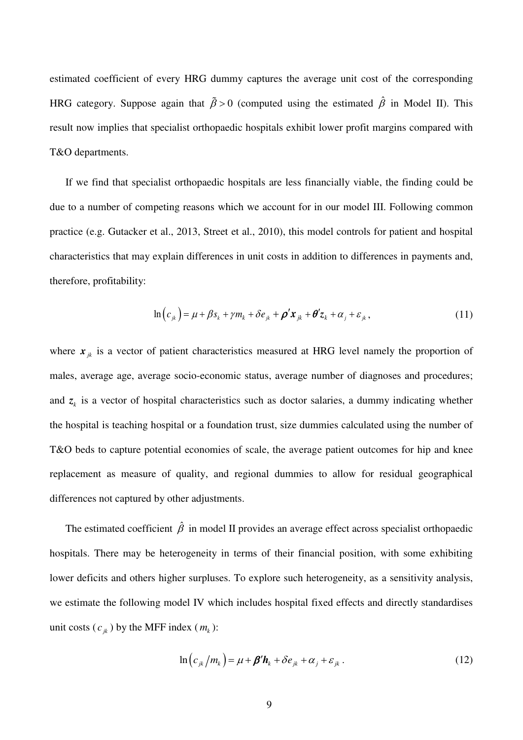estimated coefficient of every HRG dummy captures the average unit cost of the corresponding HRG category. Suppose again that  $\tilde{\beta} > 0$  (computed using the estimated  $\hat{\beta}$  in Model II). This result now implies that specialist orthopaedic hospitals exhibit lower profit margins compared with T&O departments.

If we find that specialist orthopaedic hospitals are less financially viable, the finding could be due to a number of competing reasons which we account for in our model III. Following common practice (e.g. Gutacker et al., 2013, Street et al., 2010), this model controls for patient and hospital characteristics that may explain differences in unit costs in addition to differences in payments and, therefore, profitability:

$$
\ln\left(c_{jk}\right) = \mu + \beta s_k + \gamma m_k + \delta e_{jk} + \rho' \mathbf{x}_{jk} + \theta' \mathbf{z}_k + \alpha_j + \varepsilon_{jk},\tag{11}
$$

where  $x_{ik}$  is a vector of patient characteristics measured at HRG level namely the proportion of males, average age, average socio-economic status, average number of diagnoses and procedures; and  $z<sub>k</sub>$  is a vector of hospital characteristics such as doctor salaries, a dummy indicating whether the hospital is teaching hospital or a foundation trust, size dummies calculated using the number of T&O beds to capture potential economies of scale, the average patient outcomes for hip and knee replacement as measure of quality, and regional dummies to allow for residual geographical differences not captured by other adjustments.

The estimated coefficient  $\hat{\beta}$  in model II provides an average effect across specialist orthopaedic hospitals. There may be heterogeneity in terms of their financial position, with some exhibiting lower deficits and others higher surpluses. To explore such heterogeneity, as a sensitivity analysis, we estimate the following model IV which includes hospital fixed effects and directly standardises unit costs  $(c_{jk})$  by the MFF index  $(m_k)$ :

$$
\ln\left(c_{jk}/m_k\right) = \mu + \beta' \mathbf{h}_k + \delta e_{jk} + \alpha_j + \varepsilon_{jk} \,. \tag{12}
$$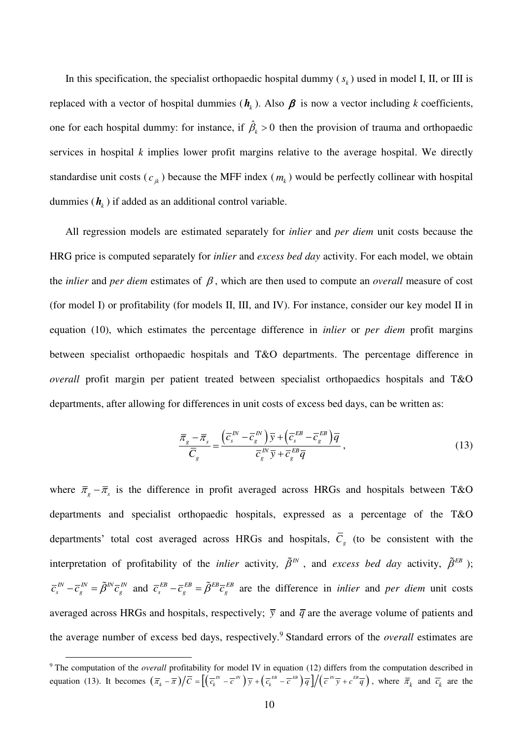In this specification, the specialist orthopaedic hospital dummy  $(s_k)$  used in model I, II, or III is replaced with a vector of hospital dummies  $(h_k)$ . Also  $\beta$  is now a vector including *k* coefficients, one for each hospital dummy: for instance, if  $\hat{\beta}_k > 0$  then the provision of trauma and orthopaedic services in hospital *k* implies lower profit margins relative to the average hospital. We directly standardise unit costs  $(c_{jk})$  because the MFF index  $(m_k)$  would be perfectly collinear with hospital dummies  $(h_k)$  if added as an additional control variable.

All regression models are estimated separately for *inlier* and *per diem* unit costs because the HRG price is computed separately for *inlier* and *excess bed day* activity. For each model, we obtain the *inlier* and *per diem* estimates of  $\beta$ , which are then used to compute an *overall* measure of cost (for model I) or profitability (for models II, III, and IV). For instance, consider our key model II in equation (10), which estimates the percentage difference in *inlier* or *per diem* profit margins between specialist orthopaedic hospitals and T&O departments. The percentage difference in *overall* profit margin per patient treated between specialist orthopaedics hospitals and T&O departments, after allowing for differences in unit costs of excess bed days, can be written as:

$$
\frac{\overline{\pi}_s - \overline{\pi}_s}{\overline{C}_s} = \frac{\left(\overline{C}_s^{IN} - \overline{C}_s^{IN}\right)\overline{y} + \left(\overline{C}_s^{EB} - \overline{C}_s^{EB}\right)\overline{q}}{\overline{C}_s^{IN}\overline{y} + \overline{C}_s^{EB}\overline{q}},
$$
\n(13)

where  $\bar{\pi}_g - \bar{\pi}_s$  is the difference in profit averaged across HRGs and hospitals between T&O departments and specialist orthopaedic hospitals, expressed as a percentage of the T&O departments' total cost averaged across HRGs and hospitals,  $C<sub>g</sub>$  (to be consistent with the interpretation of profitability of the *inlier* activity,  $\tilde{\beta}^{IN}$ , and *excess bed day* activity,  $\tilde{\beta}^{EB}$  ); *IN*  $\overline{a}^{IN} = \overline{a}^{IN} \overline{a}^{IN}$  $\bar{c}_s^{\scriptscriptstyle{I\!N}} - \bar{c}_g^{\scriptscriptstyle{I\!N}} = \tilde{\beta}^{\scriptscriptstyle{I\!N}} \bar{c}_g^{\scriptscriptstyle{I\!N}}$  and  $\bar{c}_s^{\scriptscriptstyle{I\!E\!B}} - \bar{c}_g^{\scriptscriptstyle{I\!E\!B}} = \tilde{\beta}^{\scriptscriptstyle{I\!E\!B}} \bar{c}_g^{\scriptscriptstyle{I\!E\!B}}$  are the difference in *inlier* and *per diem* unit costs averaged across HRGs and hospitals, respectively;  $\bar{y}$  and  $\bar{q}$  are the average volume of patients and the average number of excess bed days, respectively.<sup>9</sup> Standard errors of the *overall* estimates are

 $\overline{a}$ 

<sup>&</sup>lt;sup>9</sup> The computation of the *overall* profitability for model IV in equation (12) differs from the computation described in equation (13). It becomes  $(\overline{\pi}_k - \overline{\pi})/\overline{C} = \left[ (\overline{c}_k^{N} - \overline{c}^{N}) \overline{y} + (\overline{c}_k^{EB} - \overline{c}^{EB}) \overline{q} \right] / (\overline{c}^{N} \overline{y} + c^{EB} \overline{q})$ , where  $\overline{\pi}_k$  and  $\overline{c}_k$  are the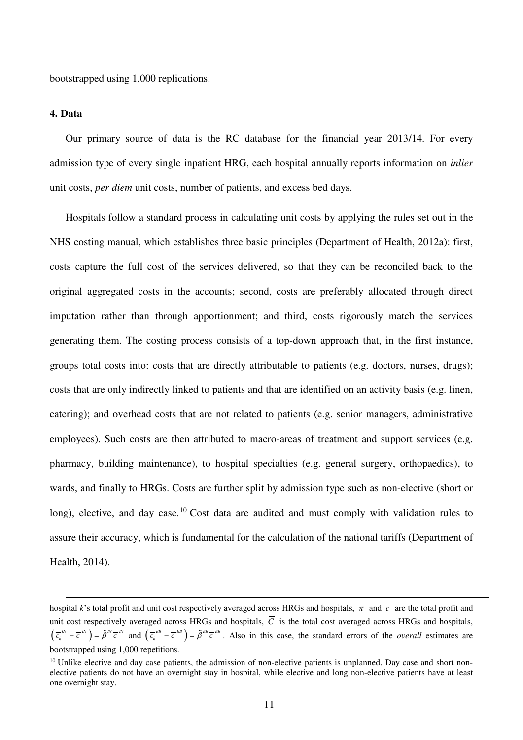bootstrapped using 1,000 replications.

#### <span id="page-12-0"></span>**4. Data**

1

Our primary source of data is the RC database for the financial year 2013/14. For every admission type of every single inpatient HRG, each hospital annually reports information on *inlier* unit costs, *per diem* unit costs, number of patients, and excess bed days.

Hospitals follow a standard process in calculating unit costs by applying the rules set out in the NHS costing manual, which establishes three basic principles (Department of Health, 2012a): first, costs capture the full cost of the services delivered, so that they can be reconciled back to the original aggregated costs in the accounts; second, costs are preferably allocated through direct imputation rather than through apportionment; and third, costs rigorously match the services generating them. The costing process consists of a top-down approach that, in the first instance, groups total costs into: costs that are directly attributable to patients (e.g. doctors, nurses, drugs); costs that are only indirectly linked to patients and that are identified on an activity basis (e.g. linen, catering); and overhead costs that are not related to patients (e.g. senior managers, administrative employees). Such costs are then attributed to macro-areas of treatment and support services (e.g. pharmacy, building maintenance), to hospital specialties (e.g. general surgery, orthopaedics), to wards, and finally to HRGs. Costs are further split by admission type such as non-elective (short or long), elective, and day case.<sup>10</sup> Cost data are audited and must comply with validation rules to assure their accuracy, which is fundamental for the calculation of the national tariffs (Department of Health, 2014).

hospital *k*'s total profit and unit cost respectively averaged across HRGs and hospitals,  $\bar{\pi}$  and  $\bar{c}$  are the total profit and unit cost respectively averaged across HRGs and hospitals,  $\overline{C}$  is the total cost averaged across HRGs and hospitals,  $\left(\overline{c_k}^m - \overline{c}^m\right) = \tilde{\beta}^m \overline{c}^m$  and  $\left(\overline{c_k}^{EB} - \overline{c}^{EB}\right) = \tilde{\beta}^{EB} \overline{c}^{EB}$ . Also in this case, the standard errors of the *overall* estimates are bootstrapped using 1,000 repetitions.

 $10$  Unlike elective and day case patients, the admission of non-elective patients is unplanned. Day case and short nonelective patients do not have an overnight stay in hospital, while elective and long non-elective patients have at least one overnight stay.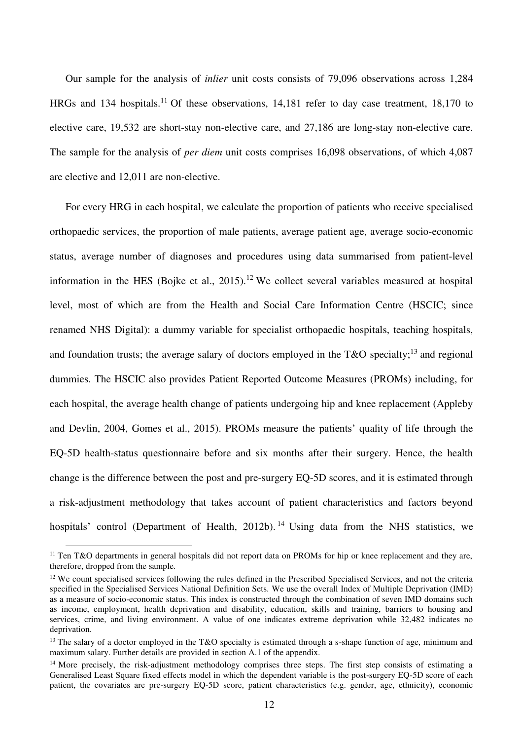Our sample for the analysis of *inlier* unit costs consists of 79,096 observations across 1,284 HRGs and 134 hospitals.<sup>11</sup> Of these observations, 14,181 refer to day case treatment, 18,170 to elective care, 19,532 are short-stay non-elective care, and 27,186 are long-stay non-elective care. The sample for the analysis of *per diem* unit costs comprises 16,098 observations, of which 4,087 are elective and 12,011 are non-elective.

For every HRG in each hospital, we calculate the proportion of patients who receive specialised orthopaedic services, the proportion of male patients, average patient age, average socio-economic status, average number of diagnoses and procedures using data summarised from patient-level information in the HES (Bojke et al., 2015).<sup>12</sup> We collect several variables measured at hospital level, most of which are from the Health and Social Care Information Centre (HSCIC; since renamed NHS Digital): a dummy variable for specialist orthopaedic hospitals, teaching hospitals, and foundation trusts; the average salary of doctors employed in the T&O specialty;<sup>13</sup> and regional dummies. The HSCIC also provides Patient Reported Outcome Measures (PROMs) including, for each hospital, the average health change of patients undergoing hip and knee replacement (Appleby and Devlin, 2004, Gomes et al., 2015). PROMs measure the patients' quality of life through the EQ-5D health-status questionnaire before and six months after their surgery. Hence, the health change is the difference between the post and pre-surgery EQ-5D scores, and it is estimated through a risk-adjustment methodology that takes account of patient characteristics and factors beyond hospitals' control (Department of Health, 2012b). <sup>14</sup> Using data from the NHS statistics, we

 $\overline{a}$ 

<sup>&</sup>lt;sup>11</sup> Ten T&O departments in general hospitals did not report data on PROMs for hip or knee replacement and they are, therefore, dropped from the sample.

<sup>&</sup>lt;sup>12</sup> We count specialised services following the rules defined in the Prescribed Specialised Services, and not the criteria specified in the Specialised Services National Definition Sets. We use the overall Index of Multiple Deprivation (IMD) as a measure of socio-economic status. This index is constructed through the combination of seven IMD domains such as income, employment, health deprivation and disability, education, skills and training, barriers to housing and services, crime, and living environment. A value of one indicates extreme deprivation while 32,482 indicates no deprivation.

<sup>&</sup>lt;sup>13</sup> The salary of a doctor employed in the T&O specialty is estimated through a s-shape function of age, minimum and maximum salary. Further details are provided in section [A.1](#page-31-0) of the appendix.

<sup>&</sup>lt;sup>14</sup> More precisely, the risk-adjustment methodology comprises three steps. The first step consists of estimating a Generalised Least Square fixed effects model in which the dependent variable is the post-surgery EQ-5D score of each patient, the covariates are pre-surgery EQ-5D score, patient characteristics (e.g. gender, age, ethnicity), economic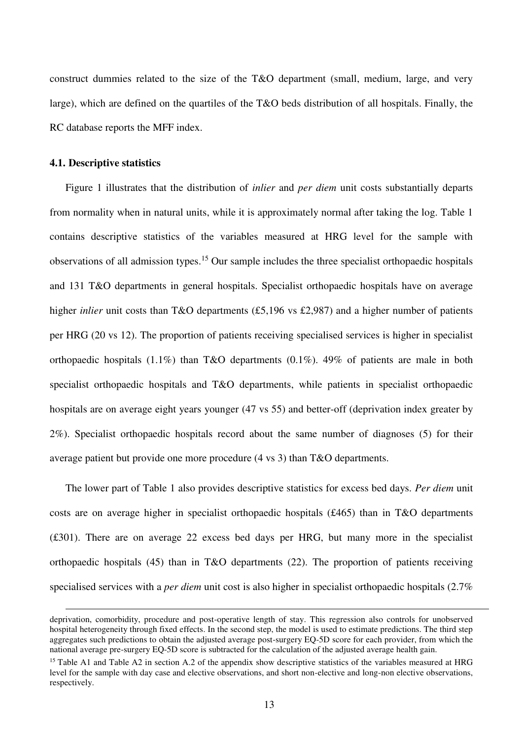construct dummies related to the size of the T&O department (small, medium, large, and very large), which are defined on the quartiles of the T&O beds distribution of all hospitals. Finally, the RC database reports the MFF index.

## **4.1. Descriptive statistics**

<u>.</u>

[Figure 1](#page-29-0) illustrates that the distribution of *inlier* and *per diem* unit costs substantially departs from normality when in natural units, while it is approximately normal after taking the log. [Table 1](#page-24-0)  contains descriptive statistics of the variables measured at HRG level for the sample with observations of all admission types.<sup>15</sup> Our sample includes the three specialist orthopaedic hospitals and 131 T&O departments in general hospitals. Specialist orthopaedic hospitals have on average higher *inlier* unit costs than T&O departments (£5,196 vs £2,987) and a higher number of patients per HRG (20 vs 12). The proportion of patients receiving specialised services is higher in specialist orthopaedic hospitals (1.1%) than T&O departments (0.1%). 49% of patients are male in both specialist orthopaedic hospitals and T&O departments, while patients in specialist orthopaedic hospitals are on average eight years younger (47 vs 55) and better-off (deprivation index greater by 2%). Specialist orthopaedic hospitals record about the same number of diagnoses (5) for their average patient but provide one more procedure (4 vs 3) than T&O departments.

The lower part of [Table 1](#page-24-0) also provides descriptive statistics for excess bed days. *Per diem* unit costs are on average higher in specialist orthopaedic hospitals (£465) than in T&O departments (£301). There are on average 22 excess bed days per HRG, but many more in the specialist orthopaedic hospitals (45) than in T&O departments (22). The proportion of patients receiving specialised services with a *per diem* unit cost is also higher in specialist orthopaedic hospitals (2.7%

deprivation, comorbidity, procedure and post-operative length of stay. This regression also controls for unobserved hospital heterogeneity through fixed effects. In the second step, the model is used to estimate predictions. The third step aggregates such predictions to obtain the adjusted average post-surgery EQ-5D score for each provider, from which the national average pre-surgery EQ-5D score is subtracted for the calculation of the adjusted average health gain.

<sup>&</sup>lt;sup>15</sup> [Table A1](#page-33-0) and [Table A2](#page-34-0) in section [A.2](#page-33-1) of the appendix show descriptive statistics of the variables measured at HRG level for the sample with day case and elective observations, and short non-elective and long-non elective observations, respectively.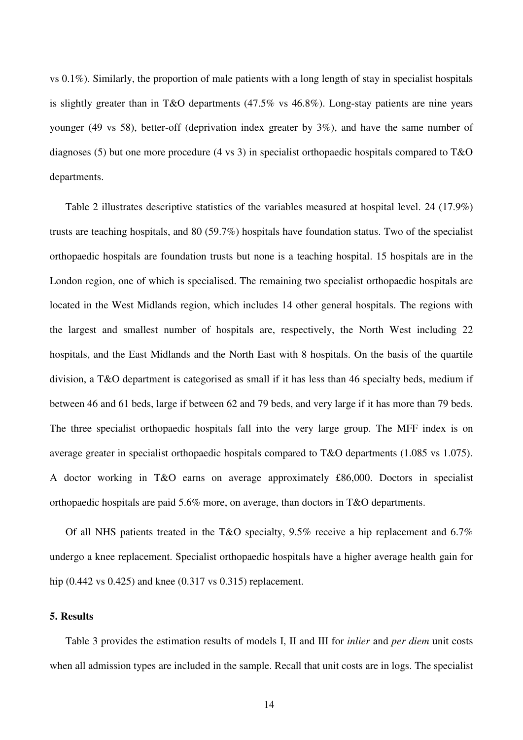vs 0.1%). Similarly, the proportion of male patients with a long length of stay in specialist hospitals is slightly greater than in T&O departments (47.5% vs 46.8%). Long-stay patients are nine years younger (49 vs 58), better-off (deprivation index greater by 3%), and have the same number of diagnoses (5) but one more procedure (4 vs 3) in specialist orthopaedic hospitals compared to T&O departments.

[Table 2](#page-25-0) illustrates descriptive statistics of the variables measured at hospital level. 24 (17.9%) trusts are teaching hospitals, and 80 (59.7%) hospitals have foundation status. Two of the specialist orthopaedic hospitals are foundation trusts but none is a teaching hospital. 15 hospitals are in the London region, one of which is specialised. The remaining two specialist orthopaedic hospitals are located in the West Midlands region, which includes 14 other general hospitals. The regions with the largest and smallest number of hospitals are, respectively, the North West including 22 hospitals, and the East Midlands and the North East with 8 hospitals. On the basis of the quartile division, a T&O department is categorised as small if it has less than 46 specialty beds, medium if between 46 and 61 beds, large if between 62 and 79 beds, and very large if it has more than 79 beds. The three specialist orthopaedic hospitals fall into the very large group. The MFF index is on average greater in specialist orthopaedic hospitals compared to T&O departments (1.085 vs 1.075). A doctor working in T&O earns on average approximately £86,000. Doctors in specialist orthopaedic hospitals are paid 5.6% more, on average, than doctors in T&O departments.

Of all NHS patients treated in the T&O specialty, 9.5% receive a hip replacement and 6.7% undergo a knee replacement. Specialist orthopaedic hospitals have a higher average health gain for hip (0.442 vs 0.425) and knee (0.317 vs 0.315) replacement.

## <span id="page-15-0"></span>**5. Results**

[Table 3](#page-26-0) provides the estimation results of models I, II and III for *inlier* and *per diem* unit costs when all admission types are included in the sample. Recall that unit costs are in logs. The specialist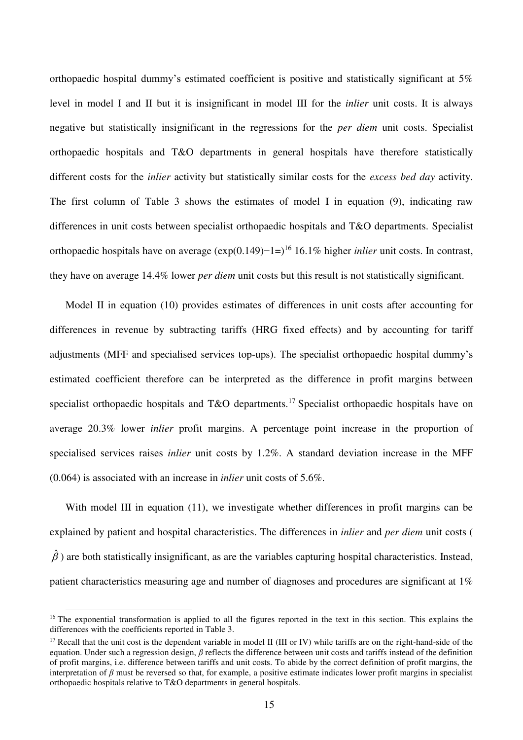orthopaedic hospital dummy's estimated coefficient is positive and statistically significant at 5% level in model I and II but it is insignificant in model III for the *inlier* unit costs. It is always negative but statistically insignificant in the regressions for the *per diem* unit costs. Specialist orthopaedic hospitals and T&O departments in general hospitals have therefore statistically different costs for the *inlier* activity but statistically similar costs for the *excess bed day* activity. The first column of [Table 3](#page-26-0) shows the estimates of model I in equation (9), indicating raw differences in unit costs between specialist orthopaedic hospitals and T&O departments. Specialist orthopaedic hospitals have on average (exp(0.149)−1=)<sup>16</sup> 16.1% higher *inlier* unit costs. In contrast, they have on average 14.4% lower *per diem* unit costs but this result is not statistically significant.

<span id="page-16-0"></span>Model II in equation (10) provides estimates of differences in unit costs after accounting for differences in revenue by subtracting tariffs (HRG fixed effects) and by accounting for tariff adjustments (MFF and specialised services top-ups). The specialist orthopaedic hospital dummy's estimated coefficient therefore can be interpreted as the difference in profit margins between specialist orthopaedic hospitals and T&O departments.<sup>17</sup> Specialist orthopaedic hospitals have on average 20.3% lower *inlier* profit margins. A percentage point increase in the proportion of specialised services raises *inlier* unit costs by 1.2%. A standard deviation increase in the MFF (0.064) is associated with an increase in *inlier* unit costs of 5.6%.

With model III in equation (11), we investigate whether differences in profit margins can be explained by patient and hospital characteristics. The differences in *inlier* and *per diem* unit costs (  $\hat{\beta}$ ) are both statistically insignificant, as are the variables capturing hospital characteristics. Instead, patient characteristics measuring age and number of diagnoses and procedures are significant at 1%

 $\overline{a}$ 

<sup>&</sup>lt;sup>16</sup> The exponential transformation is applied to all the figures reported in the text in this section. This explains the differences with the coefficients reported in [Table 3.](#page-26-0)

<sup>&</sup>lt;sup>17</sup> Recall that the unit cost is the dependent variable in model II (III or IV) while tariffs are on the right-hand-side of the equation. Under such a regression design, *β* reflects the difference between unit costs and tariffs instead of the definition of profit margins, i.e. difference between tariffs and unit costs. To abide by the correct definition of profit margins, the interpretation of  $\beta$  must be reversed so that, for example, a positive estimate indicates lower profit margins in specialist orthopaedic hospitals relative to T&O departments in general hospitals.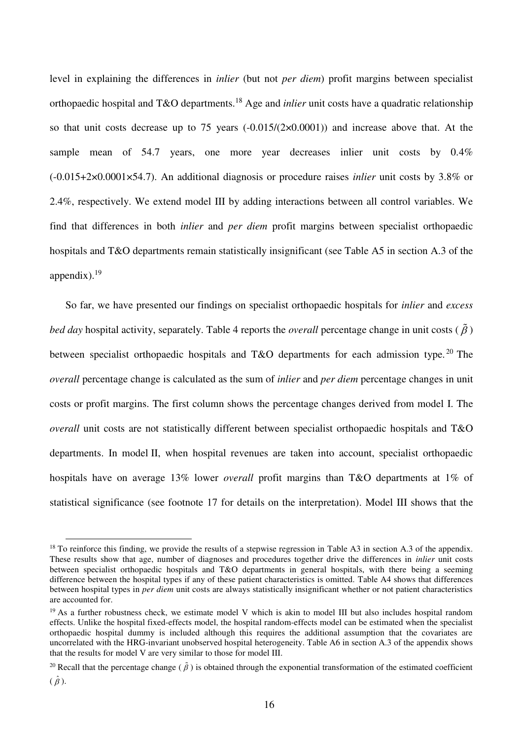level in explaining the differences in *inlier* (but not *per diem*) profit margins between specialist orthopaedic hospital and T&O departments.<sup>18</sup> Age and *inlier* unit costs have a quadratic relationship so that unit costs decrease up to 75 years  $(-0.015/(2 \times 0.0001))$  and increase above that. At the sample mean of 54.7 years, one more year decreases inlier unit costs by 0.4% (-0.015+2×0.0001×54.7). An additional diagnosis or procedure raises *inlier* unit costs by 3.8% or 2.4%, respectively. We extend model III by adding interactions between all control variables. We find that differences in both *inlier* and *per diem* profit margins between specialist orthopaedic hospitals and T&O departments remain statistically insignificant (see [Table A5](#page-37-0) in section [A.3](#page-35-0) of the appendix). $19$ 

So far, we have presented our findings on specialist orthopaedic hospitals for *inlier* and *excess bed day* hospital activity, separately. [Table 4](#page-27-0) reports the *overall* percentage change in unit costs ( $\tilde{\beta}$ ) between specialist orthopaedic hospitals and T&O departments for each admission type.<sup>20</sup> The *overall* percentage change is calculated as the sum of *inlier* and *per diem* percentage changes in unit costs or profit margins. The first column shows the percentage changes derived from model I. The *overall* unit costs are not statistically different between specialist orthopaedic hospitals and T&O departments. In model II, when hospital revenues are taken into account, specialist orthopaedic hospitals have on average 13% lower *overall* profit margins than T&O departments at 1% of statistical significance (see footnote [17](#page-16-0) for details on the interpretation). Model III shows that the

 $\overline{a}$ 

 $18$  To reinforce this finding, we provide the results of a stepwise regression in [Table A3](#page-35-1) in section [A.3](#page-35-0) of the appendix. These results show that age, number of diagnoses and procedures together drive the differences in *inlier* unit costs between specialist orthopaedic hospitals and T&O departments in general hospitals, with there being a seeming difference between the hospital types if any of these patient characteristics is omitted. [Table A4](#page-36-0) shows that differences between hospital types in *per diem* unit costs are always statistically insignificant whether or not patient characteristics are accounted for.

 $19$  As a further robustness check, we estimate model V which is akin to model III but also includes hospital random effects. Unlike the hospital fixed-effects model, the hospital random-effects model can be estimated when the specialist orthopaedic hospital dummy is included although this requires the additional assumption that the covariates are uncorrelated with the HRG-invariant unobserved hospital heterogeneity. [Table A6 i](#page-38-0)n section [A.3](#page-35-0) of the appendix shows that the results for model V are very similar to those for model III.

<sup>&</sup>lt;sup>20</sup> Recall that the percentage change ( $\tilde{\beta}$ ) is obtained through the exponential transformation of the estimated coefficient

 $(\hat{\beta})$ .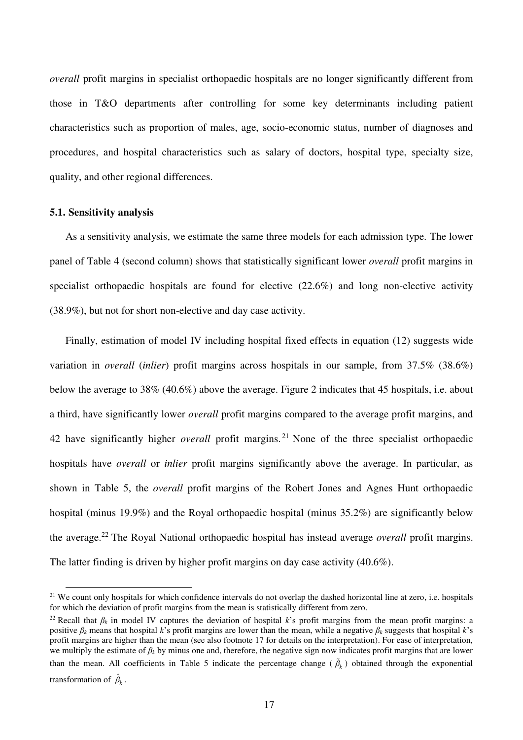*overall* profit margins in specialist orthopaedic hospitals are no longer significantly different from those in T&O departments after controlling for some key determinants including patient characteristics such as proportion of males, age, socio-economic status, number of diagnoses and procedures, and hospital characteristics such as salary of doctors, hospital type, specialty size, quality, and other regional differences.

## **5.1. Sensitivity analysis**

 $\overline{a}$ 

As a sensitivity analysis, we estimate the same three models for each admission type. The lower panel of [Table 4](#page-27-0) (second column) shows that statistically significant lower *overall* profit margins in specialist orthopaedic hospitals are found for elective (22.6%) and long non-elective activity (38.9%), but not for short non-elective and day case activity.

Finally, estimation of model IV including hospital fixed effects in equation (12) suggests wide variation in *overall* (*inlier*) profit margins across hospitals in our sample, from 37.5% (38.6%) below the average to 38% (40.6%) above the average. [Figure 2](#page-30-0) indicates that 45 hospitals, i.e. about a third, have significantly lower *overall* profit margins compared to the average profit margins, and 42 have significantly higher *overall* profit margins. <sup>21</sup> None of the three specialist orthopaedic hospitals have *overall* or *inlier* profit margins significantly above the average. In particular, as shown in [Table 5,](#page-28-0) the *overall* profit margins of the Robert Jones and Agnes Hunt orthopaedic hospital (minus 19.9%) and the Royal orthopaedic hospital (minus 35.2%) are significantly below the average.<sup>22</sup> The Royal National orthopaedic hospital has instead average *overall* profit margins. The latter finding is driven by higher profit margins on day case activity (40.6%).

 $21$  We count only hospitals for which confidence intervals do not overlap the dashed horizontal line at zero, i.e. hospitals for which the deviation of profit margins from the mean is statistically different from zero.

<sup>&</sup>lt;sup>22</sup> Recall that  $\beta_k$  in model IV captures the deviation of hospital *k*'s profit margins from the mean profit margins: a positive *βk* means that hospital *k*'s profit margins are lower than the mean, while a negative *βk* suggests that hospital *k*'s profit margins are higher than the mean (see also footnote [17](#page-16-0) for details on the interpretation). For ease of interpretation, we multiply the estimate of *βk* by minus one and, therefore, the negative sign now indicates profit margins that are lower than the mean. All coefficients in [Table 5](#page-28-0) indicate the percentage change  $(\hat{\beta}_k)$  obtained through the exponential transformation of  $\hat{\beta}_k$ .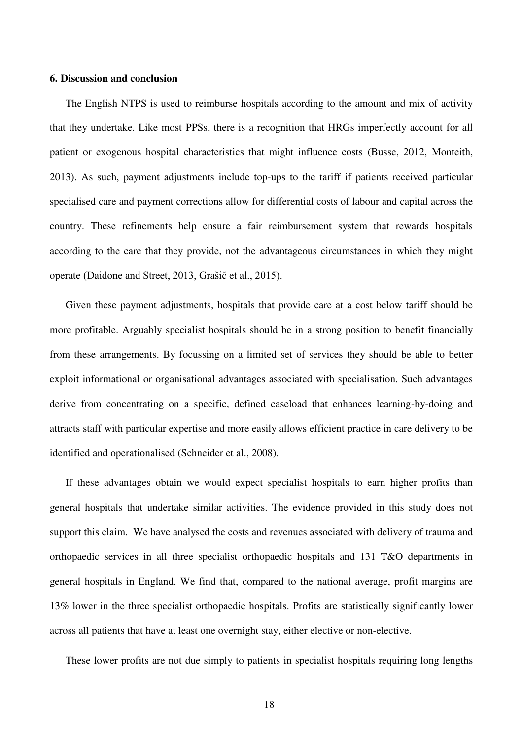#### <span id="page-19-0"></span>**6. Discussion and conclusion**

The English NTPS is used to reimburse hospitals according to the amount and mix of activity that they undertake. Like most PPSs, there is a recognition that HRGs imperfectly account for all patient or exogenous hospital characteristics that might influence costs (Busse, 2012, Monteith, 2013). As such, payment adjustments include top-ups to the tariff if patients received particular specialised care and payment corrections allow for differential costs of labour and capital across the country. These refinements help ensure a fair reimbursement system that rewards hospitals according to the care that they provide, not the advantageous circumstances in which they might operate (Daidone and Street, 2013, Grašič et al., 2015).

Given these payment adjustments, hospitals that provide care at a cost below tariff should be more profitable. Arguably specialist hospitals should be in a strong position to benefit financially from these arrangements. By focussing on a limited set of services they should be able to better exploit informational or organisational advantages associated with specialisation. Such advantages derive from concentrating on a specific, defined caseload that enhances learning-by-doing and attracts staff with particular expertise and more easily allows efficient practice in care delivery to be identified and operationalised (Schneider et al., 2008).

If these advantages obtain we would expect specialist hospitals to earn higher profits than general hospitals that undertake similar activities. The evidence provided in this study does not support this claim. We have analysed the costs and revenues associated with delivery of trauma and orthopaedic services in all three specialist orthopaedic hospitals and 131 T&O departments in general hospitals in England. We find that, compared to the national average, profit margins are 13% lower in the three specialist orthopaedic hospitals. Profits are statistically significantly lower across all patients that have at least one overnight stay, either elective or non-elective.

These lower profits are not due simply to patients in specialist hospitals requiring long lengths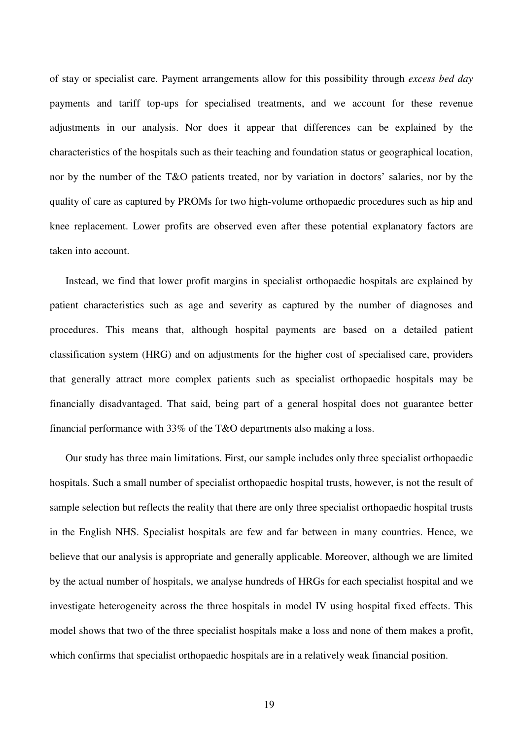of stay or specialist care. Payment arrangements allow for this possibility through *excess bed day* payments and tariff top-ups for specialised treatments, and we account for these revenue adjustments in our analysis. Nor does it appear that differences can be explained by the characteristics of the hospitals such as their teaching and foundation status or geographical location, nor by the number of the T&O patients treated, nor by variation in doctors' salaries, nor by the quality of care as captured by PROMs for two high-volume orthopaedic procedures such as hip and knee replacement. Lower profits are observed even after these potential explanatory factors are taken into account.

Instead, we find that lower profit margins in specialist orthopaedic hospitals are explained by patient characteristics such as age and severity as captured by the number of diagnoses and procedures. This means that, although hospital payments are based on a detailed patient classification system (HRG) and on adjustments for the higher cost of specialised care, providers that generally attract more complex patients such as specialist orthopaedic hospitals may be financially disadvantaged. That said, being part of a general hospital does not guarantee better financial performance with 33% of the T&O departments also making a loss.

Our study has three main limitations. First, our sample includes only three specialist orthopaedic hospitals. Such a small number of specialist orthopaedic hospital trusts, however, is not the result of sample selection but reflects the reality that there are only three specialist orthopaedic hospital trusts in the English NHS. Specialist hospitals are few and far between in many countries. Hence, we believe that our analysis is appropriate and generally applicable. Moreover, although we are limited by the actual number of hospitals, we analyse hundreds of HRGs for each specialist hospital and we investigate heterogeneity across the three hospitals in model IV using hospital fixed effects. This model shows that two of the three specialist hospitals make a loss and none of them makes a profit, which confirms that specialist orthopaedic hospitals are in a relatively weak financial position.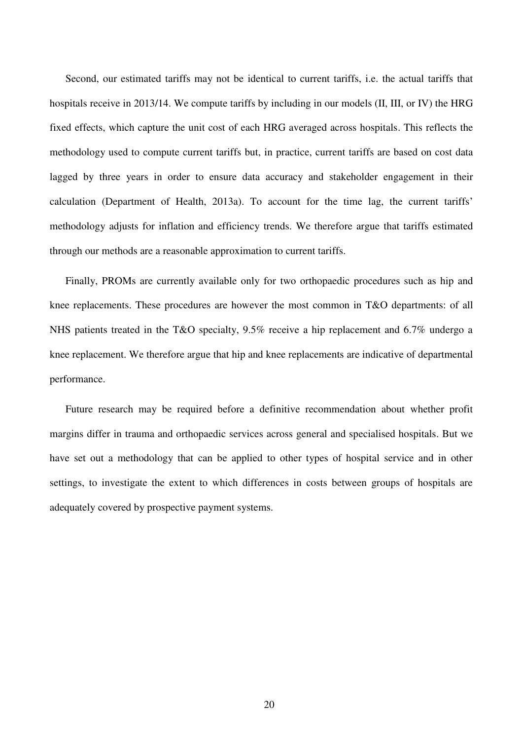Second, our estimated tariffs may not be identical to current tariffs, i.e. the actual tariffs that hospitals receive in 2013/14. We compute tariffs by including in our models (II, III, or IV) the HRG fixed effects, which capture the unit cost of each HRG averaged across hospitals. This reflects the methodology used to compute current tariffs but, in practice, current tariffs are based on cost data lagged by three years in order to ensure data accuracy and stakeholder engagement in their calculation (Department of Health, 2013a). To account for the time lag, the current tariffs' methodology adjusts for inflation and efficiency trends. We therefore argue that tariffs estimated through our methods are a reasonable approximation to current tariffs.

Finally, PROMs are currently available only for two orthopaedic procedures such as hip and knee replacements. These procedures are however the most common in T&O departments: of all NHS patients treated in the T&O specialty, 9.5% receive a hip replacement and 6.7% undergo a knee replacement. We therefore argue that hip and knee replacements are indicative of departmental performance.

Future research may be required before a definitive recommendation about whether profit margins differ in trauma and orthopaedic services across general and specialised hospitals. But we have set out a methodology that can be applied to other types of hospital service and in other settings, to investigate the extent to which differences in costs between groups of hospitals are adequately covered by prospective payment systems.

20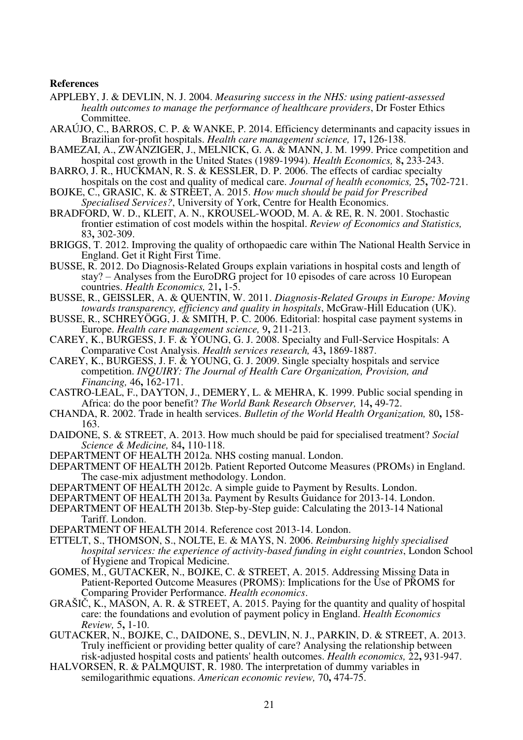#### **References**

- APPLEBY, J. & DEVLIN, N. J. 2004. *Measuring success in the NHS: using patient-assessed health outcomes to manage the performance of healthcare providers*, Dr Foster Ethics Committee.
- ARAÚJO, C., BARROS, C. P. & WANKE, P. 2014. Efficiency determinants and capacity issues in Brazilian for-profit hospitals. *Health care management science,* 17**,** 126-138.
- BAMEZAI, A., ZWANZIGER, J., MELNICK, G. A. & MANN, J. M. 1999. Price competition and hospital cost growth in the United States (1989-1994). *Health Economics,* 8**,** 233-243.
- BARRO, J. R., HUCKMAN, R. S. & KESSLER, D. P. 2006. The effects of cardiac specialty hospitals on the cost and quality of medical care. *Journal of health economics,* 25**,** 702-721.
- BOJKE, C., GRASIC, K. & STREET, A. 2015. *How much should be paid for Prescribed Specialised Services?*, University of York, Centre for Health Economics.
- BRADFORD, W. D., KLEIT, A. N., KROUSEL-WOOD, M. A. & RE, R. N. 2001. Stochastic frontier estimation of cost models within the hospital. *Review of Economics and Statistics,* 83**,** 302-309.
- BRIGGS, T. 2012. Improving the quality of orthopaedic care within The National Health Service in England. Get it Right First Time.
- BUSSE, R. 2012. Do Diagnosis‐Related Groups explain variations in hospital costs and length of stay? – Analyses from the EuroDRG project for 10 episodes of care across 10 European countries. *Health Economics,* 21**,** 1-5.
- BUSSE, R., GEISSLER, A. & QUENTIN, W. 2011. *Diagnosis-Related Groups in Europe: Moving towards transparency, efficiency and quality in hospitals*, McGraw-Hill Education (UK).
- BUSSE, R., SCHREYÖGG, J. & SMITH, P. C. 2006. Editorial: hospital case payment systems in Europe. *Health care management science,* 9**,** 211-213.
- CAREY, K., BURGESS, J. F. & YOUNG, G. J. 2008. Specialty and Full‐Service Hospitals: A Comparative Cost Analysis. *Health services research,* 43**,** 1869-1887.
- CAREY, K., BURGESS, J. F. & YOUNG, G. J. 2009. Single specialty hospitals and service competition. *INQUIRY: The Journal of Health Care Organization, Provision, and Financing,* 46**,** 162-171.
- CASTRO-LEAL, F., DAYTON, J., DEMERY, L. & MEHRA, K. 1999. Public social spending in Africa: do the poor benefit? *The World Bank Research Observer,* 14**,** 49-72.
- CHANDA, R. 2002. Trade in health services. *Bulletin of the World Health Organization,* 80**,** 158- 163.
- DAIDONE, S. & STREET, A. 2013. How much should be paid for specialised treatment? *Social Science & Medicine,* 84**,** 110-118.
- DEPARTMENT OF HEALTH 2012a. NHS costing manual. London.
- DEPARTMENT OF HEALTH 2012b. Patient Reported Outcome Measures (PROMs) in England. The case-mix adjustment methodology. London.
- DEPARTMENT OF HEALTH 2012c. A simple guide to Payment by Results. London.
- DEPARTMENT OF HEALTH 2013a. Payment by Results Guidance for 2013-14. London.
- DEPARTMENT OF HEALTH 2013b. Step-by-Step guide: Calculating the 2013-14 National Tariff. London.
- DEPARTMENT OF HEALTH 2014. Reference cost 2013-14. London.
- ETTELT, S., THOMSON, S., NOLTE, E. & MAYS, N. 2006. *Reimbursing highly specialised hospital services: the experience of activity-based funding in eight countries*, London School of Hygiene and Tropical Medicine.
- GOMES, M., GUTACKER, N., BOJKE, C. & STREET, A. 2015. Addressing Missing Data in Patient-Reported Outcome Measures (PROMS): Implications for the Use of PROMS for Comparing Provider Performance. *Health economics*.
- GRAŠIČ, K., MASON, A. R. & STREET, A. 2015. Paying for the quantity and quality of hospital care: the foundations and evolution of payment policy in England. *Health Economics Review,* 5**,** 1-10.
- GUTACKER, N., BOJKE, C., DAIDONE, S., DEVLIN, N. J., PARKIN, D. & STREET, A. 2013. Truly inefficient or providing better quality of care? Analysing the relationship between risk‐adjusted hospital costs and patients' health outcomes. *Health economics,* 22**,** 931-947.
- HALVORSEN, R. & PALMQUIST, R. 1980. The interpretation of dummy variables in semilogarithmic equations. *American economic review,* 70**,** 474-75.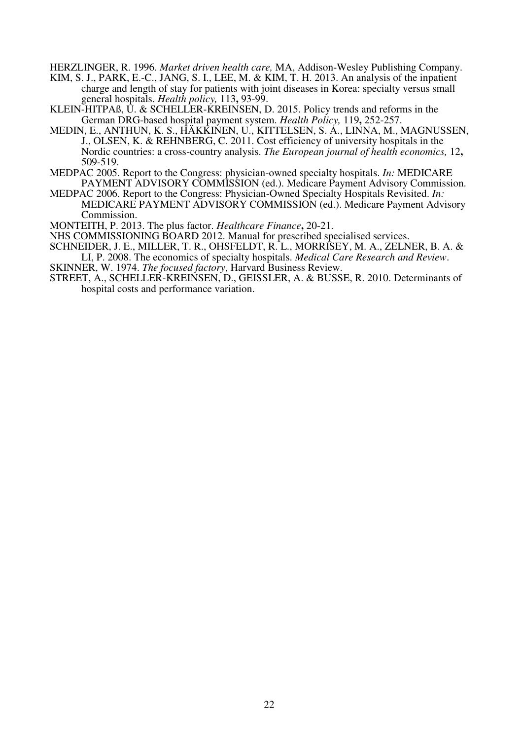HERZLINGER, R. 1996. *Market driven health care,* MA, Addison-Wesley Publishing Company.

- KIM, S. J., PARK, E.-C., JANG, S. I., LEE, M. & KIM, T. H. 2013. An analysis of the inpatient charge and length of stay for patients with joint diseases in Korea: specialty versus small general hospitals. *Health policy,* 113**,** 93-99.
- KLEIN-HITPAß, U. & SCHELLER-KREINSEN, D. 2015. Policy trends and reforms in the German DRG-based hospital payment system. *Health Policy,* 119**,** 252-257.
- MEDIN, E., ANTHUN, K. S., HÄKKINEN, U., KITTELSEN, S. A., LINNA, M., MAGNUSSEN, J., OLSEN, K. & REHNBERG, C. 2011. Cost efficiency of university hospitals in the Nordic countries: a cross-country analysis. *The European journal of health economics,* 12**,** 509-519.
- MEDPAC 2005. Report to the Congress: physician-owned specialty hospitals. *In:* MEDICARE PAYMENT ADVISORY COMMISSION (ed.). Medicare Payment Advisory Commission.
- MEDPAC 2006. Report to the Congress: Physician-Owned Specialty Hospitals Revisited. *In:* MEDICARE PAYMENT ADVISORY COMMISSION (ed.). Medicare Payment Advisory Commission.
- MONTEITH, P. 2013. The plus factor. *Healthcare Finance***,** 20-21.
- NHS COMMISSIONING BOARD 2012. Manual for prescribed specialised services.
- SCHNEIDER, J. E., MILLER, T. R., OHSFELDT, R. L., MORRISEY, M. A., ZELNER, B. A. & LI, P. 2008. The economics of specialty hospitals. *Medical Care Research and Review*.
- SKINNER, W. 1974. *The focused factory*, Harvard Business Review.
- STREET, A., SCHELLER-KREINSEN, D., GEISSLER, A. & BUSSE, R. 2010. Determinants of hospital costs and performance variation.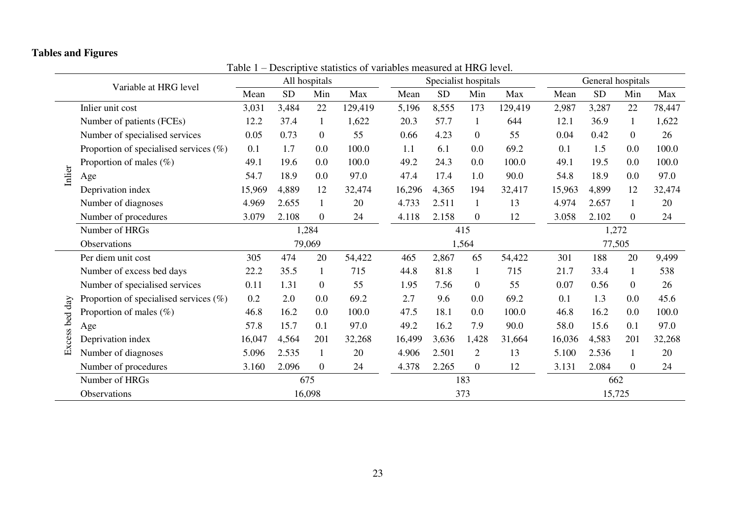# **Tables and Figures**

<span id="page-24-0"></span>

|                | Variable at HRG level                      |        |           | All hospitals  | $\ldots$ . $\ldots$ $\ldots$ $\ldots$ $\ldots$ |        | Specialist hospitals |                |         |        | General hospitals |                |        |  |
|----------------|--------------------------------------------|--------|-----------|----------------|------------------------------------------------|--------|----------------------|----------------|---------|--------|-------------------|----------------|--------|--|
|                |                                            | Mean   | <b>SD</b> | Min            | Max                                            | Mean   | <b>SD</b>            | Min            | Max     | Mean   | <b>SD</b>         | Min            | Max    |  |
|                | Inlier unit cost                           | 3,031  | 3,484     | 22             | 129,419                                        | 5,196  | 8,555                | 173            | 129,419 | 2,987  | 3,287             | 22             | 78,447 |  |
|                | Number of patients (FCEs)                  | 12.2   | 37.4      | $\mathbf{1}$   | 1,622                                          | 20.3   | 57.7                 | $\mathbf{1}$   | 644     | 12.1   | 36.9              |                | 1,622  |  |
|                | Number of specialised services             | 0.05   | 0.73      | $\overline{0}$ | 55                                             | 0.66   | 4.23                 | $\overline{0}$ | 55      | 0.04   | 0.42              | $\overline{0}$ | 26     |  |
|                | Proportion of specialised services $(\% )$ | 0.1    | 1.7       | 0.0            | 100.0                                          | 1.1    | 6.1                  | 0.0            | 69.2    | 0.1    | 1.5               | 0.0            | 100.0  |  |
|                | Proportion of males $(\%)$                 | 49.1   | 19.6      | 0.0            | 100.0                                          | 49.2   | 24.3                 | 0.0            | 100.0   | 49.1   | 19.5              | 0.0            | 100.0  |  |
| Inlier         | Age                                        | 54.7   | 18.9      | 0.0            | 97.0                                           | 47.4   | 17.4                 | 1.0            | 90.0    | 54.8   | 18.9              | 0.0            | 97.0   |  |
|                | Deprivation index                          | 15,969 | 4,889     | 12             | 32,474                                         | 16,296 | 4,365                | 194            | 32,417  | 15,963 | 4,899             | 12             | 32,474 |  |
|                | Number of diagnoses                        | 4.969  | 2.655     | $\mathbf{1}$   | 20                                             | 4.733  | 2.511                | $\mathbf{1}$   | 13      | 4.974  | 2.657             | $\mathbf{1}$   | 20     |  |
|                | Number of procedures                       | 3.079  | 2.108     | $\overline{0}$ | 24                                             | 4.118  | 2.158                | $\mathbf{0}$   | 12      | 3.058  | 2.102             | $\overline{0}$ | 24     |  |
|                | Number of HRGs                             |        |           | 1,284          |                                                |        |                      | 415            |         |        | 1,272             |                |        |  |
|                | Observations                               | 79,069 |           |                |                                                |        | 1,564                |                |         | 77,505 |                   |                |        |  |
|                | Per diem unit cost                         | 305    | 474       | 20             | 54,422                                         | 465    | 2,867                | 65             | 54,422  | 301    | 188               | 20             | 9,499  |  |
|                | Number of excess bed days                  | 22.2   | 35.5      |                | 715                                            | 44.8   | 81.8                 | $\mathbf{1}$   | 715     | 21.7   | 33.4              |                | 538    |  |
|                | Number of specialised services             | 0.11   | 1.31      | $\mathbf{0}$   | 55                                             | 1.95   | 7.56                 | $\overline{0}$ | 55      | 0.07   | 0.56              | $\overline{0}$ | 26     |  |
|                | Proportion of specialised services $(\%)$  | 0.2    | 2.0       | 0.0            | 69.2                                           | 2.7    | 9.6                  | 0.0            | 69.2    | 0.1    | 1.3               | 0.0            | 45.6   |  |
|                | Proportion of males $(\%)$                 | 46.8   | 16.2      | 0.0            | 100.0                                          | 47.5   | 18.1                 | 0.0            | 100.0   | 46.8   | 16.2              | 0.0            | 100.0  |  |
|                | Age                                        | 57.8   | 15.7      | 0.1            | 97.0                                           | 49.2   | 16.2                 | 7.9            | 90.0    | 58.0   | 15.6              | 0.1            | 97.0   |  |
| Excess bed day | Deprivation index                          | 16,047 | 4,564     | 201            | 32,268                                         | 16,499 | 3,636                | 1,428          | 31,664  | 16,036 | 4,583             | 201            | 32,268 |  |
|                | Number of diagnoses                        | 5.096  | 2.535     | 1              | 20                                             | 4.906  | 2.501                | $\overline{2}$ | 13      | 5.100  | 2.536             | $\mathbf{1}$   | 20     |  |
|                | Number of procedures                       | 3.160  | 2.096     | $\overline{0}$ | 24                                             | 4.378  | 2.265                | $\overline{0}$ | 12      | 3.131  | 2.084             | $\overline{0}$ | 24     |  |
|                | Number of HRGs                             |        |           | 675            |                                                |        |                      | 183            |         |        | 662               |                |        |  |
|                | Observations                               |        |           | 16,098         |                                                |        |                      | 373            |         |        | 15,725            |                |        |  |

Table 1 – Descriptive statistics of variables measured at HRG level.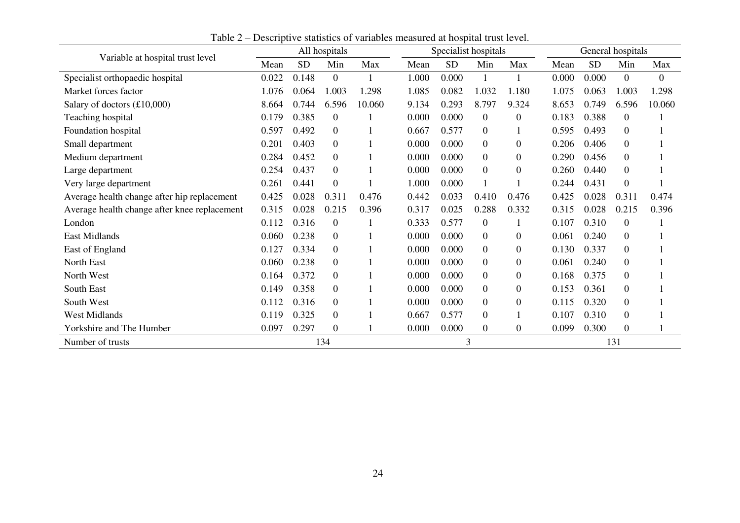<span id="page-25-0"></span>

| Variable at hospital trust level             |       | All hospitals |                |        |       | Specialist hospitals |                |                |       | General hospitals |                  |              |  |
|----------------------------------------------|-------|---------------|----------------|--------|-------|----------------------|----------------|----------------|-------|-------------------|------------------|--------------|--|
|                                              | Mean  | <b>SD</b>     | Min            | Max    | Mean  | <b>SD</b>            | Min            | Max            | Mean  | <b>SD</b>         | Min              | Max          |  |
| Specialist orthopaedic hospital              | 0.022 | 0.148         | $\overline{0}$ |        | 1.000 | 0.000                |                |                | 0.000 | 0.000             | $\boldsymbol{0}$ | $\mathbf{0}$ |  |
| Market forces factor                         | 1.076 | 0.064         | 1.003          | 1.298  | 1.085 | 0.082                | 1.032          | 1.180          | 1.075 | 0.063             | 1.003            | 1.298        |  |
| Salary of doctors $(\text{\pounds}10,000)$   | 8.664 | 0.744         | 6.596          | 10.060 | 9.134 | 0.293                | 8.797          | 9.324          | 8.653 | 0.749             | 6.596            | 10.060       |  |
| Teaching hospital                            | 0.179 | 0.385         | $\overline{0}$ |        | 0.000 | 0.000                | $\overline{0}$ | $\overline{0}$ | 0.183 | 0.388             | $\boldsymbol{0}$ |              |  |
| Foundation hospital                          | 0.597 | 0.492         | $\Omega$       |        | 0.667 | 0.577                | $\Omega$       |                | 0.595 | 0.493             | 0                |              |  |
| Small department                             | 0.201 | 0.403         | $\Omega$       |        | 0.000 | 0.000                | $\overline{0}$ | $\Omega$       | 0.206 | 0.406             | $\overline{0}$   |              |  |
| Medium department                            | 0.284 | 0.452         | $\Omega$       |        | 0.000 | 0.000                | $\overline{0}$ | $\Omega$       | 0.290 | 0.456             | $\boldsymbol{0}$ |              |  |
| Large department                             | 0.254 | 0.437         | $\overline{0}$ |        | 0.000 | 0.000                | $\overline{0}$ | $\overline{0}$ | 0.260 | 0.440             | $\boldsymbol{0}$ |              |  |
| Very large department                        | 0.261 | 0.441         | $\overline{0}$ |        | 1.000 | 0.000                |                |                | 0.244 | 0.431             | $\boldsymbol{0}$ |              |  |
| Average health change after hip replacement  | 0.425 | 0.028         | 0.311          | 0.476  | 0.442 | 0.033                | 0.410          | 0.476          | 0.425 | 0.028             | 0.311            | 0.474        |  |
| Average health change after knee replacement | 0.315 | 0.028         | 0.215          | 0.396  | 0.317 | 0.025                | 0.288          | 0.332          | 0.315 | 0.028             | 0.215            | 0.396        |  |
| London                                       | 0.112 | 0.316         | $\Omega$       |        | 0.333 | 0.577                | $\overline{0}$ |                | 0.107 | 0.310             | $\boldsymbol{0}$ |              |  |
| East Midlands                                | 0.060 | 0.238         | $\Omega$       |        | 0.000 | 0.000                | $\Omega$       | 0              | 0.061 | 0.240             | 0                |              |  |
| East of England                              | 0.127 | 0.334         | $\Omega$       |        | 0.000 | 0.000                | $\Omega$       | 0              | 0.130 | 0.337             | $\overline{0}$   |              |  |
| North East                                   | 0.060 | 0.238         | $\overline{0}$ |        | 0.000 | 0.000                | $\overline{0}$ | $\overline{0}$ | 0.061 | 0.240             | $\boldsymbol{0}$ |              |  |
| North West                                   | 0.164 | 0.372         | $\overline{0}$ |        | 0.000 | 0.000                | $\overline{0}$ | $\Omega$       | 0.168 | 0.375             | $\overline{0}$   |              |  |
| South East                                   | 0.149 | 0.358         | $\Omega$       |        | 0.000 | 0.000                | $\overline{0}$ | $\Omega$       | 0.153 | 0.361             | $\overline{0}$   |              |  |
| South West                                   | 0.112 | 0.316         | $\Omega$       |        | 0.000 | 0.000                | $\Omega$       | 0              | 0.115 | 0.320             | $\boldsymbol{0}$ |              |  |
| <b>West Midlands</b>                         | 0.119 | 0.325         | $\overline{0}$ |        | 0.667 | 0.577                | $\overline{0}$ |                | 0.107 | 0.310             | $\boldsymbol{0}$ |              |  |
| Yorkshire and The Humber                     | 0.097 | 0.297         | $\overline{0}$ |        | 0.000 | 0.000                | $\overline{0}$ | 0              | 0.099 | 0.300             | $\overline{0}$   |              |  |
| Number of trusts                             | 134   |               |                |        |       | 3                    |                |                | 131   |                   |                  |              |  |

Table 2 – Descriptive statistics of variables measured at hospital trust level.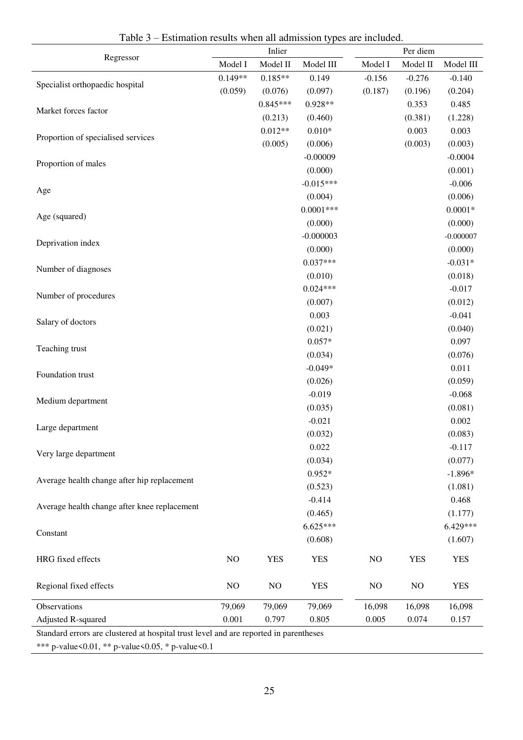<span id="page-26-0"></span>

|                                              | Inlier    |            |             | Per diem |            |             |  |
|----------------------------------------------|-----------|------------|-------------|----------|------------|-------------|--|
| Regressor                                    | Model I   | Model II   | Model III   | Model I  | Model II   | Model III   |  |
|                                              | $0.149**$ | $0.185**$  | 0.149       | $-0.156$ | $-0.276$   | $-0.140$    |  |
| Specialist orthopaedic hospital              | (0.059)   | (0.076)    | (0.097)     | (0.187)  | (0.196)    | (0.204)     |  |
|                                              |           | $0.845***$ | $0.928**$   |          | 0.353      | 0.485       |  |
| Market forces factor                         |           | (0.213)    | (0.460)     |          | (0.381)    | (1.228)     |  |
|                                              |           | $0.012**$  | $0.010*$    |          | 0.003      | 0.003       |  |
| Proportion of specialised services           |           | (0.005)    | (0.006)     |          | (0.003)    | (0.003)     |  |
|                                              |           |            | $-0.00009$  |          |            | $-0.0004$   |  |
| Proportion of males                          |           |            | (0.000)     |          |            | (0.001)     |  |
|                                              |           |            | $-0.015***$ |          |            | $-0.006$    |  |
| Age                                          |           |            | (0.004)     |          |            | (0.006)     |  |
|                                              |           |            | $0.0001***$ |          |            | $0.0001*$   |  |
| Age (squared)                                |           |            | (0.000)     |          |            | (0.000)     |  |
|                                              |           |            | $-0.000003$ |          |            | $-0.000007$ |  |
| Deprivation index                            |           |            | (0.000)     |          |            | (0.000)     |  |
|                                              |           |            | $0.037***$  |          |            | $-0.031*$   |  |
| Number of diagnoses                          |           |            | (0.010)     |          |            | (0.018)     |  |
|                                              |           |            | $0.024***$  |          |            | $-0.017$    |  |
| Number of procedures                         |           |            | (0.007)     |          |            | (0.012)     |  |
|                                              |           |            | 0.003       |          |            | $-0.041$    |  |
| Salary of doctors                            |           |            | (0.021)     |          |            | (0.040)     |  |
|                                              |           |            | $0.057*$    |          |            | 0.097       |  |
| Teaching trust                               |           |            | (0.034)     |          |            | (0.076)     |  |
|                                              |           |            | $-0.049*$   |          |            | 0.011       |  |
| Foundation trust                             |           |            | (0.026)     |          |            | (0.059)     |  |
|                                              |           |            | $-0.019$    |          |            | $-0.068$    |  |
| Medium department                            |           |            | (0.035)     |          |            | (0.081)     |  |
|                                              |           |            | $-0.021$    |          |            | 0.002       |  |
| Large department                             |           |            | (0.032)     |          |            | (0.083)     |  |
|                                              |           |            | 0.022       |          |            | $-0.117$    |  |
| Very large department                        |           |            | (0.034)     |          |            | (0.077)     |  |
|                                              |           |            | $0.952*$    |          |            | $-1.896*$   |  |
| Average health change after hip replacement  |           |            | (0.523)     |          |            | (1.081)     |  |
|                                              |           |            | $-0.414$    |          |            | 0.468       |  |
| Average health change after knee replacement |           |            | (0.465)     |          |            | (1.177)     |  |
|                                              |           |            | $6.625***$  |          |            | 6.429***    |  |
| Constant                                     |           |            | (0.608)     |          |            | (1.607)     |  |
|                                              |           |            |             |          |            |             |  |
| HRG fixed effects                            | $\rm NO$  | <b>YES</b> | <b>YES</b>  | $NO$     | <b>YES</b> | <b>YES</b>  |  |
| Regional fixed effects                       | NO        | NO         | <b>YES</b>  | NO       | NO         | <b>YES</b>  |  |
|                                              |           |            |             |          |            |             |  |
| Observations                                 | 79,069    | 79,069     | 79,069      | 16,098   | 16,098     | 16,098      |  |
| Adjusted R-squared                           | 0.001     | 0.797      | 0.805       | 0.005    | 0.074      | 0.157       |  |

Table 3 – Estimation results when all admission types are included.

Standard errors are clustered at hospital trust level and are reported in parentheses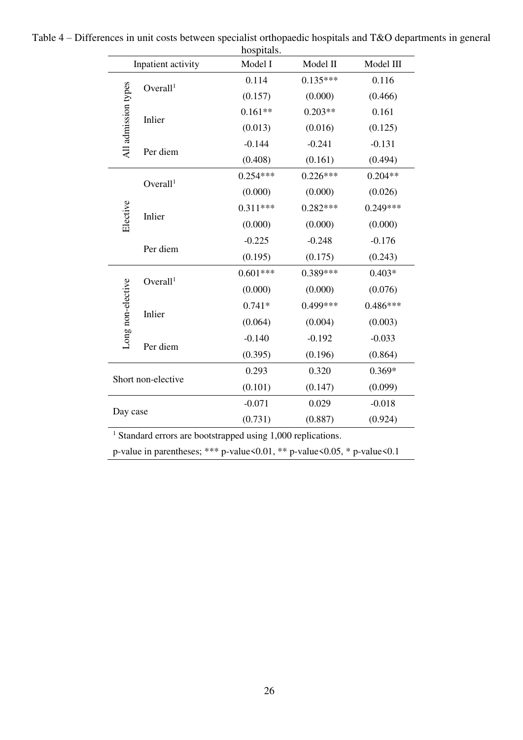|                     | nospitais.           |            |            |            |  |  |  |  |  |  |
|---------------------|----------------------|------------|------------|------------|--|--|--|--|--|--|
|                     | Inpatient activity   | Model I    | Model II   | Model III  |  |  |  |  |  |  |
|                     | Overall <sup>1</sup> | 0.114      | $0.135***$ | 0.116      |  |  |  |  |  |  |
|                     |                      | (0.157)    | (0.000)    | (0.466)    |  |  |  |  |  |  |
|                     | Inlier               | $0.161**$  | $0.203**$  | 0.161      |  |  |  |  |  |  |
|                     |                      | (0.013)    | (0.016)    | (0.125)    |  |  |  |  |  |  |
| All admission types | Per diem             | $-0.144$   | $-0.241$   | $-0.131$   |  |  |  |  |  |  |
|                     |                      | (0.408)    | (0.161)    | (0.494)    |  |  |  |  |  |  |
|                     | Overall <sup>1</sup> | $0.254***$ | $0.226***$ | $0.204**$  |  |  |  |  |  |  |
|                     |                      | (0.000)    | (0.000)    | (0.026)    |  |  |  |  |  |  |
|                     |                      | $0.311***$ | $0.282***$ | $0.249***$ |  |  |  |  |  |  |
| Elective            | Inlier               | (0.000)    | (0.000)    | (0.000)    |  |  |  |  |  |  |
|                     | Per diem             | $-0.225$   | $-0.248$   | $-0.176$   |  |  |  |  |  |  |
|                     |                      | (0.195)    | (0.175)    | (0.243)    |  |  |  |  |  |  |
|                     |                      | $0.601***$ | 0.389***   | $0.403*$   |  |  |  |  |  |  |
|                     | Overall <sup>1</sup> | (0.000)    | (0.000)    | (0.076)    |  |  |  |  |  |  |
|                     |                      | $0.741*$   | $0.499***$ | $0.486***$ |  |  |  |  |  |  |
| Long non-elective   | Inlier               | (0.064)    | (0.004)    | (0.003)    |  |  |  |  |  |  |
|                     |                      | $-0.140$   | $-0.192$   | $-0.033$   |  |  |  |  |  |  |
|                     | Per diem             | (0.395)    | (0.196)    | (0.864)    |  |  |  |  |  |  |
|                     |                      | 0.293      | 0.320      | $0.369*$   |  |  |  |  |  |  |
|                     | Short non-elective   | (0.101)    | (0.147)    | (0.099)    |  |  |  |  |  |  |
|                     |                      | $-0.071$   | 0.029      | $-0.018$   |  |  |  |  |  |  |
| Day case            |                      | (0.731)    | (0.887)    | (0.924)    |  |  |  |  |  |  |
|                     |                      |            |            |            |  |  |  |  |  |  |

<span id="page-27-0"></span>

| Table 4 – Differences in unit costs between specialist orthopaedic hospitals and T&O departments in general |  |
|-------------------------------------------------------------------------------------------------------------|--|
| hospitals.                                                                                                  |  |

<sup>1</sup> Standard errors are bootstrapped using 1,000 replications.

p-value in parentheses; \*\*\* p-value<0.01, \*\* p-value<0.05, \* p-value<0.1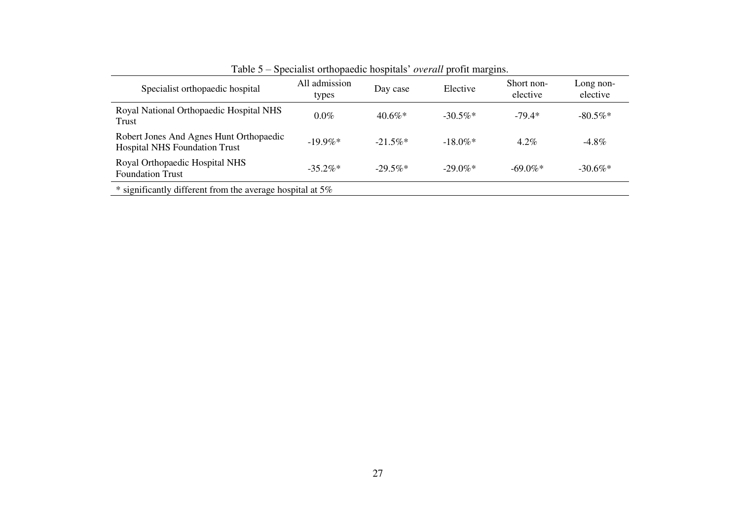<span id="page-28-0"></span>

| Specialist orthopaedic hospital                                                 | All admission<br>types | Day case   | Elective               | Short non-<br>elective | Long non-<br>elective |
|---------------------------------------------------------------------------------|------------------------|------------|------------------------|------------------------|-----------------------|
| Royal National Orthopaedic Hospital NHS<br>Trust                                | $0.0\%$                | $40.6\%*$  | $-30.5\%*$             | $-79.4*$               | $-80.5\%$ *           |
| Robert Jones And Agnes Hunt Orthopaedic<br><b>Hospital NHS Foundation Trust</b> | $-19.9\%*$             | $-21.5\%*$ | $-18.0\%$ <sup>*</sup> | $4.2\%$                | $-4.8\%$              |
| Royal Orthopaedic Hospital NHS<br><b>Foundation Trust</b>                       | $-35.2\%*$             | $-29.5\%*$ | $-29.0\%$ *            | $-69.0\%$ *            | $-30.6\%$ *           |

Table 5 – Specialist orthopaedic hospitals' *overall* profit margins.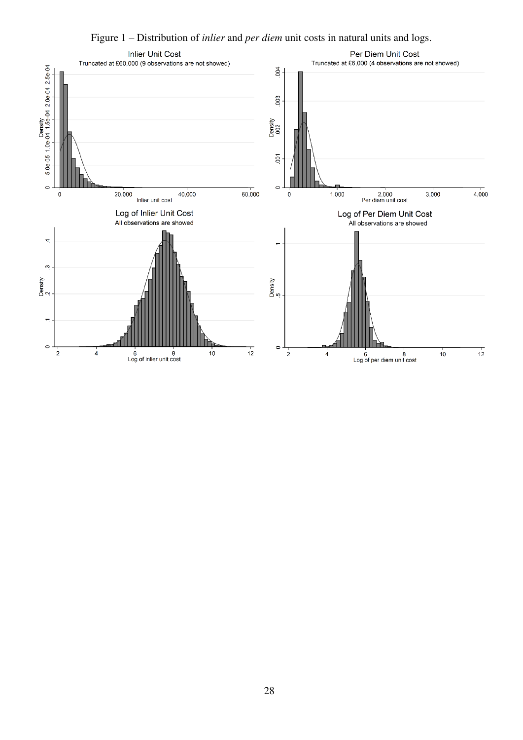Figure 1 – Distribution of *inlier* and *per diem* unit costs in natural units and logs.

<span id="page-29-0"></span>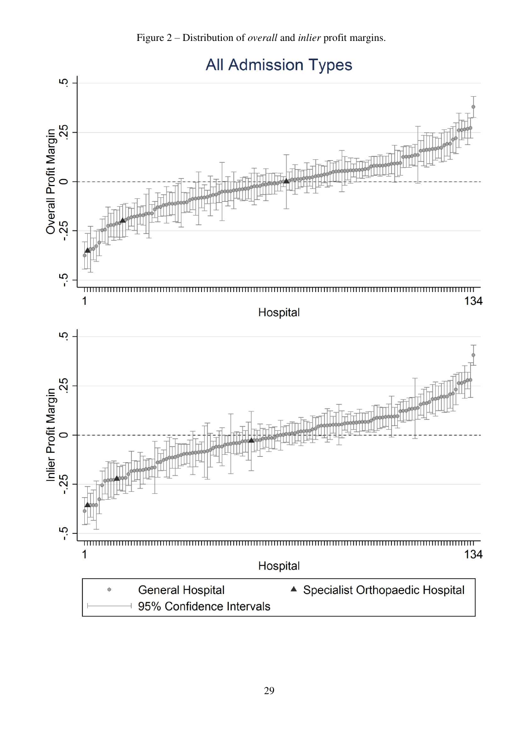Figure 2 – Distribution of *overall* and *inlier* profit margins.

<span id="page-30-0"></span>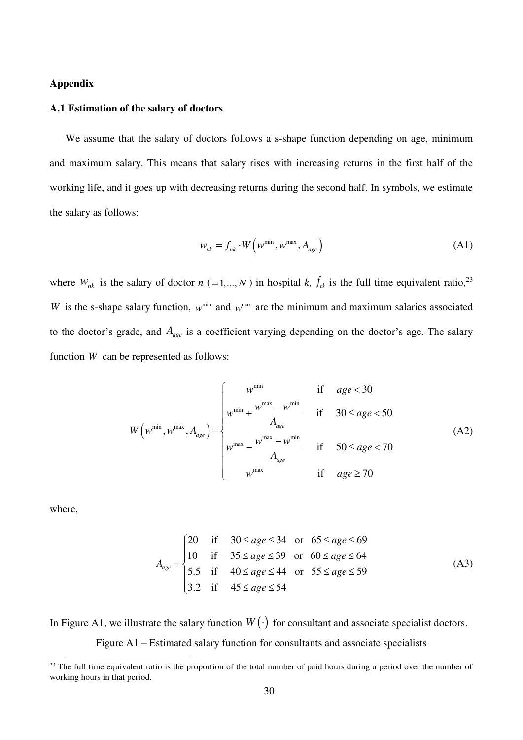#### **Appendix**

## <span id="page-31-0"></span>**A.1 Estimation of the salary of doctors**

We assume that the salary of doctors follows a s-shape function depending on age, minimum and maximum salary. This means that salary rises with increasing returns in the first half of the working life, and it goes up with decreasing returns during the second half. In symbols, we estimate the salary as follows:

$$
w_{nk} = f_{nk} \cdot W\left(w^{\min}, w^{\max}, A_{age}\right) \tag{A1}
$$

where  $W_{nk}$  is the salary of doctor  $n (=1,...,N)$  in hospital  $k$ ,  $f_{nk}$  is the full time equivalent ratio,<sup>23</sup> *W* is the s-shape salary function,  $w^{min}$  and  $w^{max}$  are the minimum and maximum salaries associated to the doctor's grade, and *A age* is a coefficient varying depending on the doctor's age. The salary function *W* can be represented as follows:

$$
W(w^{\min}, w^{\max}, A_{age}) = \begin{cases} w^{\min} & \text{if } age < 30 \\ w^{\min} + \frac{w^{\max} - w^{\min}}{A_{age}} & \text{if } 30 \le age < 50 \\ w^{\max} - \frac{w^{\max} - w^{\min}}{A_{age}} & \text{if } 50 \le age < 70 \\ w^{\max} & \text{if } age \ge 70 \end{cases}
$$
(A2)

where,

 $\overline{a}$ 

$$
A_{age} = \begin{cases} 20 & \text{if } 30 \le age \le 34 \text{ or } 65 \le age \le 69 \\ 10 & \text{if } 35 \le age \le 39 \text{ or } 60 \le age \le 64 \\ 5.5 & \text{if } 40 \le age \le 44 \text{ or } 55 \le age \le 59 \\ 3.2 & \text{if } 45 \le age \le 54 \end{cases}
$$
(A3)

<span id="page-31-1"></span>In [Figure A1,](#page-31-1) we illustrate the salary function  $W(\cdot)$  for consultant and associate specialist doctors. Figure A1 – Estimated salary function for consultants and associate specialists

<sup>&</sup>lt;sup>23</sup> The full time equivalent ratio is the proportion of the total number of paid hours during a period over the number of working hours in that period.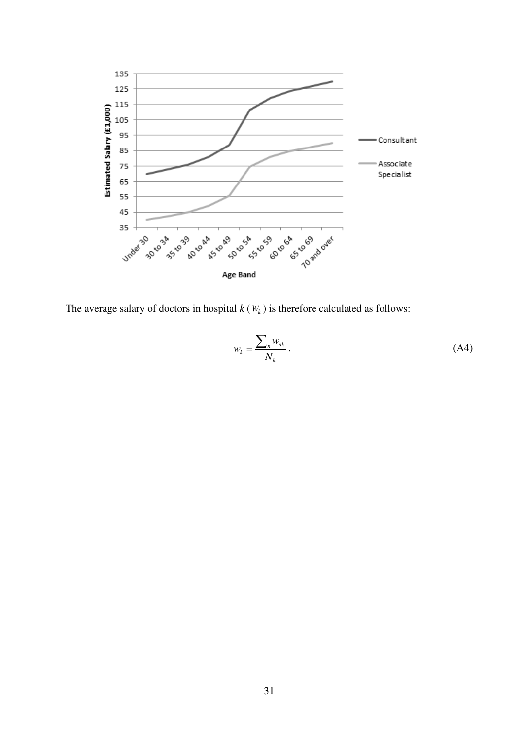

The average salary of doctors in hospital  $k$  ( $W_k$ ) is therefore calculated as follows:

$$
w_k = \frac{\sum_n w_{nk}}{N_k} \,. \tag{A4}
$$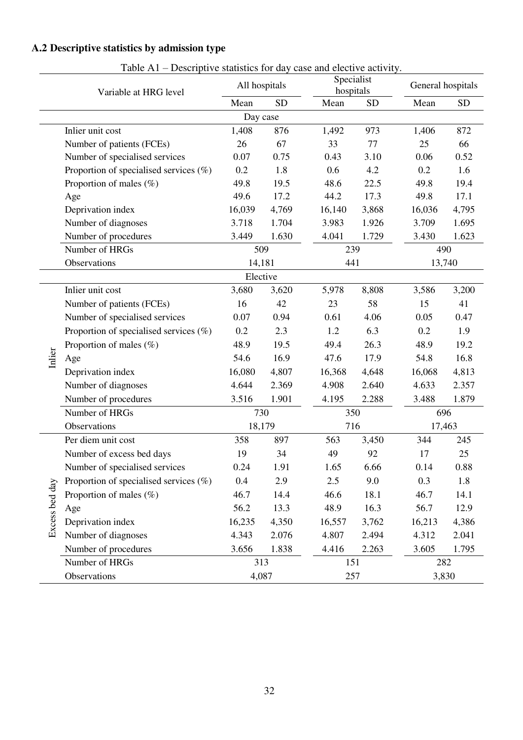# <span id="page-33-1"></span>**A.2 Descriptive statistics by admission type**

<span id="page-33-0"></span>

|                | Descriptive statistics for any<br>Variable at HRG level | All hospitals |           | $\alpha$ <sub>0</sub> and $\alpha$ <sub>0</sub> $\alpha$ <sub>0</sub> $\alpha$ <sub>0</sub> $\alpha$ <sub>1</sub> , $\alpha$ <sub>1</sub> , $\alpha$ <sub>1</sub><br>hospitals | Specialist | General hospitals |       |  |
|----------------|---------------------------------------------------------|---------------|-----------|--------------------------------------------------------------------------------------------------------------------------------------------------------------------------------|------------|-------------------|-------|--|
|                |                                                         | Mean          | <b>SD</b> | Mean                                                                                                                                                                           | <b>SD</b>  | Mean              | SD    |  |
|                |                                                         | Day case      |           |                                                                                                                                                                                |            |                   |       |  |
|                | Inlier unit cost                                        | 1,408         | 876       | 1,492                                                                                                                                                                          | 973        | 1,406             | 872   |  |
|                | Number of patients (FCEs)                               | 26            | 67        | 33                                                                                                                                                                             | 77         | 25                | 66    |  |
|                | Number of specialised services                          | 0.07          | 0.75      | 0.43                                                                                                                                                                           | 3.10       | 0.06              | 0.52  |  |
|                | Proportion of specialised services $(\%)$               | 0.2           | 1.8       | 0.6                                                                                                                                                                            | 4.2        | 0.2               | 1.6   |  |
|                | Proportion of males (%)                                 | 49.8          | 19.5      | 48.6                                                                                                                                                                           | 22.5       | 49.8              | 19.4  |  |
|                | Age                                                     | 49.6          | 17.2      | 44.2                                                                                                                                                                           | 17.3       | 49.8              | 17.1  |  |
|                | Deprivation index                                       | 16,039        | 4,769     | 16,140                                                                                                                                                                         | 3,868      | 16,036            | 4,795 |  |
|                | Number of diagnoses                                     | 3.718         | 1.704     | 3.983                                                                                                                                                                          | 1.926      | 3.709             | 1.695 |  |
|                | Number of procedures                                    | 3.449         | 1.630     | 4.041                                                                                                                                                                          | 1.729      | 3.430             | 1.623 |  |
|                | Number of HRGs                                          | 509           |           | 239                                                                                                                                                                            |            | 490               |       |  |
|                | Observations                                            | 14,181        |           | 441                                                                                                                                                                            |            | 13,740            |       |  |
|                |                                                         | Elective      |           |                                                                                                                                                                                |            |                   |       |  |
|                | Inlier unit cost                                        | 3,680         | 3,620     | 5,978                                                                                                                                                                          | 8,808      | 3,586             | 3,200 |  |
|                | Number of patients (FCEs)                               | 16            | 42        | 23                                                                                                                                                                             | 58         | 15                | 41    |  |
|                | Number of specialised services                          | 0.07          | 0.94      | 0.61                                                                                                                                                                           | 4.06       | 0.05              | 0.47  |  |
|                | Proportion of specialised services $(\%)$               | 0.2           | 2.3       | 1.2                                                                                                                                                                            | 6.3        | 0.2               | 1.9   |  |
|                | Proportion of males $(\%)$                              | 48.9          | 19.5      | 49.4                                                                                                                                                                           | 26.3       | 48.9              | 19.2  |  |
| Inlier         | Age                                                     | 54.6          | 16.9      | 47.6                                                                                                                                                                           | 17.9       | 54.8              | 16.8  |  |
|                | Deprivation index                                       | 16,080        | 4,807     | 16,368                                                                                                                                                                         | 4,648      | 16,068            | 4,813 |  |
|                | Number of diagnoses                                     | 4.644         | 2.369     | 4.908                                                                                                                                                                          | 2.640      | 4.633             | 2.357 |  |
|                | Number of procedures                                    | 3.516         | 1.901     | 4.195                                                                                                                                                                          | 2.288      | 3.488             | 1.879 |  |
|                | Number of HRGs                                          | 730           |           | 350                                                                                                                                                                            |            | 696               |       |  |
|                | Observations                                            |               | 18,179    | 716                                                                                                                                                                            |            | 17,463            |       |  |
|                | Per diem unit cost                                      | 358           | 897       | 563                                                                                                                                                                            | 3,450      | 344               | 245   |  |
|                | Number of excess bed days                               | 19            | 34        | 49                                                                                                                                                                             | 92         | 17                | 25    |  |
|                | Number of specialised services                          | 0.24          | 1.91      | 1.65                                                                                                                                                                           | 6.66       | 0.14              | 0.88  |  |
|                | Proportion of specialised services $(\%)$               | 0.4           | 2.9       | 2.5                                                                                                                                                                            | 9.0        | 0.3               | 1.8   |  |
|                | Proportion of males $(\%)$                              | 46.7          | 14.4      | 46.6                                                                                                                                                                           | 18.1       | 46.7              | 14.1  |  |
|                | Age                                                     | 56.2          | 13.3      | 48.9                                                                                                                                                                           | 16.3       | 56.7              | 12.9  |  |
| Excess bed day | Deprivation index                                       | 16,235        | 4,350     | 16,557                                                                                                                                                                         | 3,762      | 16,213            | 4,386 |  |
|                | Number of diagnoses                                     | 4.343         | 2.076     | 4.807                                                                                                                                                                          | 2.494      | 4.312             | 2.041 |  |
|                | Number of procedures                                    | 3.656         | 1.838     | 4.416                                                                                                                                                                          | 2.263      | 3.605             | 1.795 |  |
|                | Number of HRGs                                          | 313           |           | 151                                                                                                                                                                            |            | 282               |       |  |
|                | Observations                                            | 4,087         |           | 257                                                                                                                                                                            |            | 3,830             |       |  |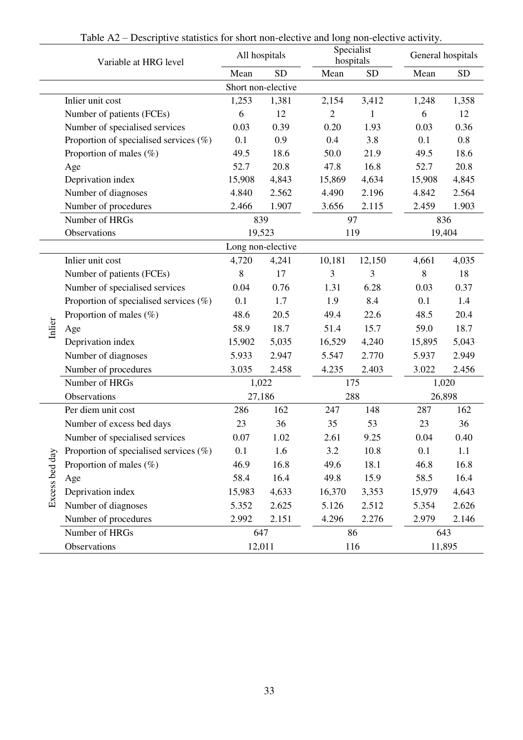<span id="page-34-0"></span>

|                | Variable at HRG level                     |        | All hospitals      |                | Specialist<br>hospitals | General hospitals |           |  |  |
|----------------|-------------------------------------------|--------|--------------------|----------------|-------------------------|-------------------|-----------|--|--|
|                |                                           | Mean   | <b>SD</b>          | Mean           | <b>SD</b>               | Mean              | <b>SD</b> |  |  |
|                |                                           |        | Short non-elective |                |                         |                   |           |  |  |
|                | Inlier unit cost                          | 1,253  | 1,381              | 2,154          | 3,412                   | 1,248             | 1,358     |  |  |
|                | Number of patients (FCEs)                 | 6      | 12                 | $\overline{2}$ |                         | 6                 | 12        |  |  |
|                | Number of specialised services            | 0.03   | 0.39               | 0.20           | 1.93                    | 0.03              | 0.36      |  |  |
|                | Proportion of specialised services $(\%)$ | 0.1    | 0.9                | 0.4            | 3.8                     | 0.1               | 0.8       |  |  |
|                | Proportion of males (%)                   | 49.5   | 18.6               | 50.0           | 21.9                    | 49.5              | 18.6      |  |  |
|                | Age                                       | 52.7   | 20.8               | 47.8           | 16.8                    | 52.7              | 20.8      |  |  |
|                | Deprivation index                         | 15,908 | 4,843              | 15,869         | 4,634                   | 15,908            | 4,845     |  |  |
|                | Number of diagnoses                       | 4.840  | 2.562              | 4.490          | 2.196                   | 4.842             | 2.564     |  |  |
|                | Number of procedures                      | 2.466  | 1.907              | 3.656          | 2.115                   | 2.459             | 1.903     |  |  |
|                | Number of HRGs                            | 839    |                    |                | 97                      | 836               |           |  |  |
|                | Observations                              |        | 19,523             |                | 119                     | 19,404            |           |  |  |
|                |                                           |        | Long non-elective  |                |                         |                   |           |  |  |
|                | Inlier unit cost                          | 4,720  | 4,241              | 10,181         | 12,150                  | 4,661             | 4,035     |  |  |
|                | Number of patients (FCEs)                 | 8      | 17                 | 3              | 3                       | 8                 | 18        |  |  |
|                | Number of specialised services            | 0.04   | 0.76               | 1.31           | 6.28                    | 0.03              | 0.37      |  |  |
|                | Proportion of specialised services $(\%)$ | 0.1    | 1.7                | 1.9            | 8.4                     | 0.1               | 1.4       |  |  |
|                | Proportion of males (%)                   | 48.6   | 20.5               | 49.4           | 22.6                    | 48.5              | 20.4      |  |  |
| Inlier         | Age                                       | 58.9   | 18.7               | 51.4           | 15.7                    | 59.0              | 18.7      |  |  |
|                | Deprivation index                         | 15,902 | 5,035              | 16,529         | 4,240                   | 15,895            | 5,043     |  |  |
|                | Number of diagnoses                       | 5.933  | 2.947              | 5.547          | 2.770                   | 5.937             | 2.949     |  |  |
|                | Number of procedures                      | 3.035  | 2.458              | 4.235          | 2.403                   | 3.022             | 2.456     |  |  |
|                | Number of HRGs                            | 1,022  |                    |                | 175                     | 1,020             |           |  |  |
|                | Observations                              | 27,186 |                    |                | 288                     | 26,898            |           |  |  |
|                | Per diem unit cost                        | 286    | 162                | 247            | 148                     | 287               | 162       |  |  |
|                | Number of excess bed days                 | 23     | 36                 | 35             | 53                      | 23                | 36        |  |  |
|                | Number of specialised services            | 0.07   | 1.02               | 2.61           | 9.25                    | 0.04              | 0.40      |  |  |
|                | Proportion of specialised services $(\%)$ | 0.1    | 1.6                | 3.2            | 10.8                    | 0.1               | 1.1       |  |  |
|                | Proportion of males $(\%)$                | 46.9   | 16.8               | 49.6           | 18.1                    | 46.8              | 16.8      |  |  |
|                | Age                                       | 58.4   | 16.4               | 49.8           | 15.9                    | 58.5              | 16.4      |  |  |
| Excess bed day | Deprivation index                         | 15,983 | 4,633              | 16,370         | 3,353                   | 15,979            | 4,643     |  |  |
|                | Number of diagnoses                       | 5.352  | 2.625              | 5.126          | 2.512                   | 5.354             | 2.626     |  |  |
|                | Number of procedures                      | 2.992  | 2.151              | 4.296          | 2.276                   | 2.979             | 2.146     |  |  |
|                | Number of HRGs                            | 647    |                    |                | 86                      |                   | 643       |  |  |
|                | Observations                              | 12,011 |                    |                | 116                     | 11,895            |           |  |  |

Table A2 – Descriptive statistics for short non-elective and long non-elective activity.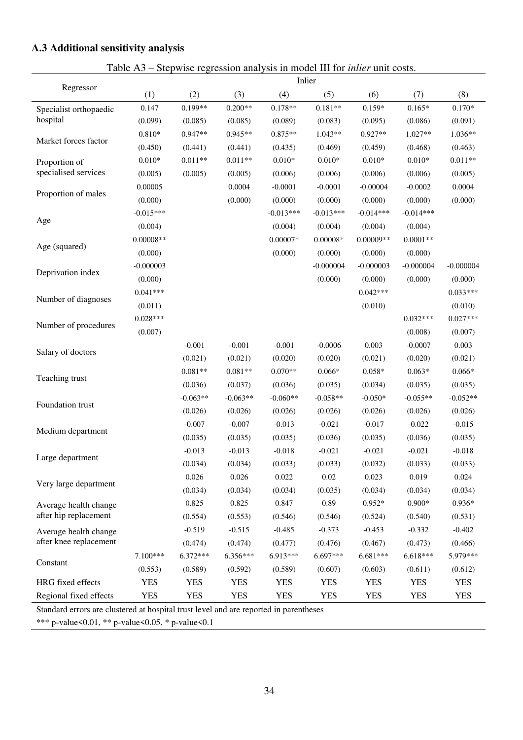# <span id="page-35-0"></span>**A.3 Additional sensitivity analysis**

Table A3 – Stepwise regression analysis in model III for *inlier* unit costs.

<span id="page-35-1"></span>

|                        | Inlier      |            |            |             |             |             |             |             |  |  |  |
|------------------------|-------------|------------|------------|-------------|-------------|-------------|-------------|-------------|--|--|--|
| Regressor              | (1)         | (2)        | (3)        | (4)         | (5)         | (6)         | (7)         | (8)         |  |  |  |
| Specialist orthopaedic | 0.147       | 0.199**    | $0.200**$  | $0.178**$   | $0.181**$   | $0.159*$    | $0.165*$    | $0.170*$    |  |  |  |
| hospital               | (0.099)     | (0.085)    | (0.085)    | (0.089)     | (0.083)     | (0.095)     | (0.086)     | (0.091)     |  |  |  |
| Market forces factor   | $0.810*$    | 0.947**    | $0.945**$  | $0.875**$   | $1.043**$   | $0.927**$   | 1.027**     | $1.036**$   |  |  |  |
|                        | (0.450)     | (0.441)    | (0.441)    | (0.435)     | (0.469)     | (0.459)     | (0.468)     | (0.463)     |  |  |  |
| Proportion of          | $0.010*$    | $0.011**$  | $0.011**$  | $0.010*$    | $0.010*$    | $0.010*$    | $0.010*$    | $0.011**$   |  |  |  |
| specialised services   | (0.005)     | (0.005)    | (0.005)    | (0.006)     | (0.006)     | (0.006)     | (0.006)     | (0.005)     |  |  |  |
|                        | 0.00005     |            | 0.0004     | $-0.0001$   | $-0.0001$   | $-0.00004$  | $-0.0002$   | 0.0004      |  |  |  |
| Proportion of males    | (0.000)     |            | (0.000)    | (0.000)     | (0.000)     | (0.000)     | (0.000)     | (0.000)     |  |  |  |
|                        | $-0.015***$ |            |            | $-0.013***$ | $-0.013***$ | $-0.014***$ | $-0.014***$ |             |  |  |  |
| Age                    | (0.004)     |            |            | (0.004)     | (0.004)     | (0.004)     | (0.004)     |             |  |  |  |
|                        | $0.00008**$ |            |            | $0.00007*$  | $0.00008*$  | $0.00009**$ | $0.0001**$  |             |  |  |  |
| Age (squared)          | (0.000)     |            |            | (0.000)     | (0.000)     | (0.000)     | (0.000)     |             |  |  |  |
|                        | $-0.000003$ |            |            |             | $-0.000004$ | $-0.000003$ | $-0.000004$ | $-0.000004$ |  |  |  |
| Deprivation index      | (0.000)     |            |            |             | (0.000)     | (0.000)     | (0.000)     | (0.000)     |  |  |  |
|                        | $0.041***$  |            |            |             |             | $0.042***$  |             | $0.033***$  |  |  |  |
| Number of diagnoses    | (0.011)     |            |            |             |             | (0.010)     |             | (0.010)     |  |  |  |
|                        | $0.028***$  |            |            |             |             |             | $0.032***$  | $0.027***$  |  |  |  |
| Number of procedures   | (0.007)     |            |            |             |             |             | (0.008)     | (0.007)     |  |  |  |
|                        |             | $-0.001$   | $-0.001$   | $-0.001$    | $-0.0006$   | 0.003       | $-0.0007$   | 0.003       |  |  |  |
| Salary of doctors      |             | (0.021)    | (0.021)    | (0.020)     | (0.020)     | (0.021)     | (0.020)     | (0.021)     |  |  |  |
|                        |             | $0.081**$  | $0.081**$  | $0.070**$   | $0.066*$    | $0.058*$    | $0.063*$    | $0.066*$    |  |  |  |
| Teaching trust         |             | (0.036)    | (0.037)    | (0.036)     | (0.035)     | (0.034)     | (0.035)     | (0.035)     |  |  |  |
| Foundation trust       |             | $-0.063**$ | $-0.063**$ | $-0.060**$  | $-0.058**$  | $-0.050*$   | $-0.055**$  | $-0.052**$  |  |  |  |
|                        |             | (0.026)    | (0.026)    | (0.026)     | (0.026)     | (0.026)     | (0.026)     | (0.026)     |  |  |  |
|                        |             | $-0.007$   | $-0.007$   | $-0.013$    | $-0.021$    | $-0.017$    | $-0.022$    | $-0.015$    |  |  |  |
| Medium department      |             | (0.035)    | (0.035)    | (0.035)     | (0.036)     | (0.035)     | (0.036)     | (0.035)     |  |  |  |
|                        |             | $-0.013$   | $-0.013$   | $-0.018$    | $-0.021$    | $-0.021$    | $-0.021$    | $-0.018$    |  |  |  |
| Large department       |             | (0.034)    | (0.034)    | (0.033)     | (0.033)     | (0.032)     | (0.033)     | (0.033)     |  |  |  |
|                        |             | 0.026      | 0.026      | 0.022       | 0.02        | 0.023       | 0.019       | 0.024       |  |  |  |
| Very large department  |             | (0.034)    | (0.034)    | (0.034)     | (0.035)     | (0.034)     | (0.034)     | (0.034)     |  |  |  |
| Average health change  |             | 0.825      | 0.825      | 0.847       | 0.89        | $0.952*$    | $0.900*$    | $0.936*$    |  |  |  |
| after hip replacement  |             | (0.554)    | (0.553)    | (0.546)     | (0.546)     | (0.524)     | (0.540)     | (0.531)     |  |  |  |
| Average health change  |             | $-0.519$   | $-0.515$   | $-0.485$    | $-0.373$    | $-0.453$    | $-0.332$    | $-0.402$    |  |  |  |
| after knee replacement |             | (0.474)    | (0.474)    | (0.477)     | (0.476)     | (0.467)     | (0.473)     | (0.466)     |  |  |  |
|                        | 7.100***    | $6.372***$ | 6.356***   | 6.913***    | 6.697***    | 6.681***    | 6.618***    | 5.979***    |  |  |  |
| Constant               | (0.553)     | (0.589)    | (0.592)    | (0.589)     | (0.607)     | (0.603)     | (0.611)     | (0.612)     |  |  |  |
| HRG fixed effects      | <b>YES</b>  | <b>YES</b> | <b>YES</b> | <b>YES</b>  | <b>YES</b>  | <b>YES</b>  | <b>YES</b>  | <b>YES</b>  |  |  |  |
| Regional fixed effects | <b>YES</b>  | <b>YES</b> | <b>YES</b> | <b>YES</b>  | <b>YES</b>  | <b>YES</b>  | <b>YES</b>  | <b>YES</b>  |  |  |  |

Standard errors are clustered at hospital trust level and are reported in parentheses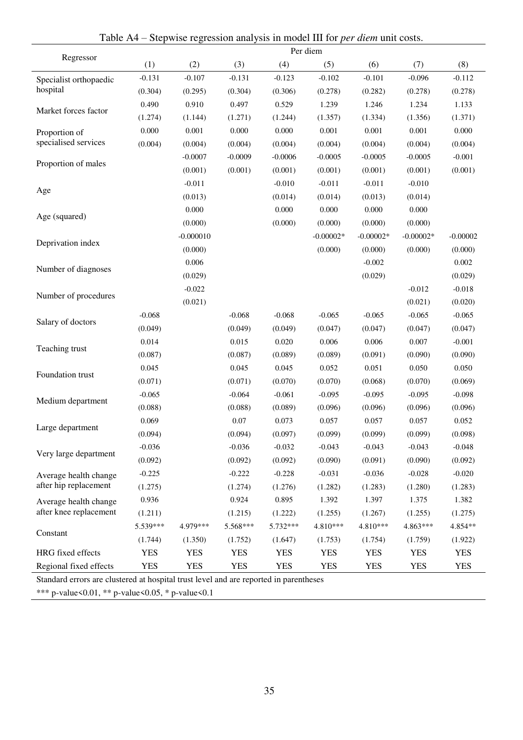<span id="page-36-0"></span>

|                        | Per diem   |             |            |            |             |             |             |            |  |  |  |
|------------------------|------------|-------------|------------|------------|-------------|-------------|-------------|------------|--|--|--|
| Regressor              | (1)        | (2)         | (3)        | (4)        | (5)         | (6)         | (7)         | (8)        |  |  |  |
| Specialist orthopaedic | $-0.131$   | $-0.107$    | $-0.131$   | $-0.123$   | $-0.102$    | $-0.101$    | $-0.096$    | $-0.112$   |  |  |  |
| hospital               | (0.304)    | (0.295)     | (0.304)    | (0.306)    | (0.278)     | (0.282)     | (0.278)     | (0.278)    |  |  |  |
| Market forces factor   | 0.490      | 0.910       | 0.497      | 0.529      | 1.239       | 1.246       | 1.234       | 1.133      |  |  |  |
|                        | (1.274)    | (1.144)     | (1.271)    | (1.244)    | (1.357)     | (1.334)     | (1.356)     | (1.371)    |  |  |  |
| Proportion of          | 0.000      | 0.001       | 0.000      | 0.000      | 0.001       | 0.001       | 0.001       | 0.000      |  |  |  |
| specialised services   | (0.004)    | (0.004)     | (0.004)    | (0.004)    | (0.004)     | (0.004)     | (0.004)     | (0.004)    |  |  |  |
| Proportion of males    |            | $-0.0007$   | $-0.0009$  | $-0.0006$  | $-0.0005$   | $-0.0005$   | $-0.0005$   | $-0.001$   |  |  |  |
|                        |            | (0.001)     | (0.001)    | (0.001)    | (0.001)     | (0.001)     | (0.001)     | (0.001)    |  |  |  |
|                        |            | $-0.011$    |            | $-0.010$   | $-0.011$    | $-0.011$    | $-0.010$    |            |  |  |  |
| Age                    |            | (0.013)     |            | (0.014)    | (0.014)     | (0.013)     | (0.014)     |            |  |  |  |
|                        |            | 0.000       |            | 0.000      | 0.000       | 0.000       | 0.000       |            |  |  |  |
| Age (squared)          |            | (0.000)     |            | (0.000)    | (0.000)     | (0.000)     | (0.000)     |            |  |  |  |
| Deprivation index      |            | $-0.000010$ |            |            | $-0.00002*$ | $-0.00002*$ | $-0.00002*$ | $-0.00002$ |  |  |  |
|                        |            | (0.000)     |            |            | (0.000)     | (0.000)     | (0.000)     | (0.000)    |  |  |  |
| Number of diagnoses    |            | 0.006       |            |            |             | $-0.002$    |             | 0.002      |  |  |  |
|                        |            | (0.029)     |            |            |             | (0.029)     |             | (0.029)    |  |  |  |
| Number of procedures   |            | $-0.022$    |            |            |             |             | $-0.012$    | $-0.018$   |  |  |  |
|                        |            | (0.021)     |            |            |             |             | (0.021)     | (0.020)    |  |  |  |
| Salary of doctors      | $-0.068$   |             | $-0.068$   | $-0.068$   | $-0.065$    | $-0.065$    | $-0.065$    | $-0.065$   |  |  |  |
|                        | (0.049)    |             | (0.049)    | (0.049)    | (0.047)     | (0.047)     | (0.047)     | (0.047)    |  |  |  |
| Teaching trust         | 0.014      |             | 0.015      | 0.020      | 0.006       | 0.006       | 0.007       | $-0.001$   |  |  |  |
|                        | (0.087)    |             | (0.087)    | (0.089)    | (0.089)     | (0.091)     | (0.090)     | (0.090)    |  |  |  |
| Foundation trust       | 0.045      |             | 0.045      | 0.045      | 0.052       | 0.051       | 0.050       | 0.050      |  |  |  |
|                        | (0.071)    |             | (0.071)    | (0.070)    | (0.070)     | (0.068)     | (0.070)     | (0.069)    |  |  |  |
| Medium department      | $-0.065$   |             | $-0.064$   | $-0.061$   | $-0.095$    | $-0.095$    | $-0.095$    | $-0.098$   |  |  |  |
|                        | (0.088)    |             | (0.088)    | (0.089)    | (0.096)     | (0.096)     | (0.096)     | (0.096)    |  |  |  |
| Large department       | 0.069      |             | 0.07       | 0.073      | 0.057       | 0.057       | 0.057       | 0.052      |  |  |  |
|                        | (0.094)    |             | (0.094)    | (0.097)    | (0.099)     | (0.099)     | (0.099)     | (0.098)    |  |  |  |
| Very large department  | $-0.036$   |             | $-0.036$   | $-0.032$   | $-0.043$    | $-0.043$    | $-0.043$    | $-0.048$   |  |  |  |
|                        | (0.092)    |             | (0.092)    | (0.092)    | (0.090)     | (0.091)     | (0.090)     | (0.092)    |  |  |  |
| Average health change  | $-0.225$   |             | $-0.222$   | $-0.228$   | $-0.031$    | $-0.036$    | $-0.028$    | $-0.020$   |  |  |  |
| after hip replacement  | (1.275)    |             | (1.274)    | (1.276)    | (1.282)     | (1.283)     | (1.280)     | (1.283)    |  |  |  |
| Average health change  | 0.936      |             | 0.924      | 0.895      | 1.392       | 1.397       | 1.375       | 1.382      |  |  |  |
| after knee replacement | (1.211)    |             | (1.215)    | (1.222)    | (1.255)     | (1.267)     | (1.255)     | (1.275)    |  |  |  |
|                        | 5.539***   | 4.979***    | 5.568***   | 5.732***   | 4.810***    | 4.810***    | 4.863***    | 4.854**    |  |  |  |
| Constant               | (1.744)    | (1.350)     | (1.752)    | (1.647)    | (1.753)     | (1.754)     | (1.759)     | (1.922)    |  |  |  |
| HRG fixed effects      | <b>YES</b> | <b>YES</b>  | <b>YES</b> | <b>YES</b> | <b>YES</b>  | <b>YES</b>  | <b>YES</b>  | <b>YES</b> |  |  |  |
| Regional fixed effects | <b>YES</b> | <b>YES</b>  | <b>YES</b> | <b>YES</b> | <b>YES</b>  | <b>YES</b>  | <b>YES</b>  | <b>YES</b> |  |  |  |

Table A4 – Stepwise regression analysis in model III for *per diem* unit costs.

Standard errors are clustered at hospital trust level and are reported in parentheses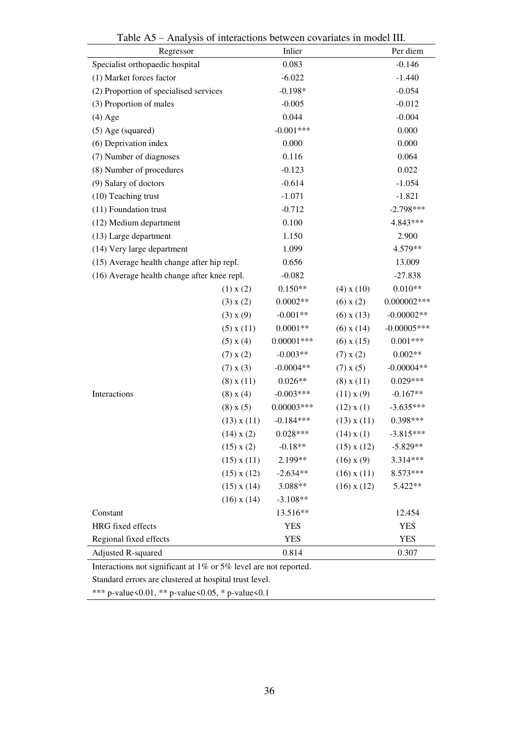<span id="page-37-0"></span>

| 1001011<br>Regressor                        |                 | Inlier        | <i>Thin fold of micruellong between covariates in moder in.</i> | Per diem      |
|---------------------------------------------|-----------------|---------------|-----------------------------------------------------------------|---------------|
| Specialist orthopaedic hospital             |                 | 0.083         |                                                                 | $-0.146$      |
| (1) Market forces factor                    |                 | $-6.022$      |                                                                 | $-1.440$      |
| (2) Proportion of specialised services      |                 | $-0.198*$     |                                                                 | $-0.054$      |
| (3) Proportion of males                     |                 | $-0.005$      |                                                                 | $-0.012$      |
| $(4)$ Age                                   |                 | 0.044         |                                                                 | $-0.004$      |
| $(5)$ Age (squared)                         |                 | $-0.001***$   |                                                                 | 0.000         |
| (6) Deprivation index                       |                 | 0.000         |                                                                 | 0.000         |
| (7) Number of diagnoses                     |                 | 0.116         |                                                                 | 0.064         |
| (8) Number of procedures                    |                 | $-0.123$      |                                                                 | 0.022         |
| (9) Salary of doctors                       |                 | $-0.614$      |                                                                 | $-1.054$      |
| (10) Teaching trust                         |                 | $-1.071$      |                                                                 | $-1.821$      |
| (11) Foundation trust                       |                 | $-0.712$      |                                                                 | $-2.798***$   |
| (12) Medium department                      |                 | 0.100         |                                                                 | 4.843***      |
| (13) Large department                       |                 | 1.150         |                                                                 | 2.900         |
| (14) Very large department                  |                 | 1.099         |                                                                 | 4.579**       |
| (15) Average health change after hip repl.  |                 | 0.656         |                                                                 | 13.009        |
| (16) Average health change after knee repl. |                 | $-0.082$      |                                                                 | $-27.838$     |
|                                             | $(1)$ x $(2)$   | $0.150**$     | $(4)$ x $(10)$                                                  | $0.010**$     |
|                                             | $(3)$ x $(2)$   | $0.0002**$    | $(6)$ x $(2)$                                                   | $0.000002***$ |
|                                             | $(3)$ x $(9)$   | $-0.001**$    | $(6)$ x $(13)$                                                  | $-0.00002**$  |
|                                             | $(5)$ x $(11)$  | $0.0001**$    | $(6)$ x $(14)$                                                  | $-0.00005***$ |
|                                             | $(5)$ x $(4)$   | $0.00001$ *** | $(6)$ x $(15)$                                                  | $0.001***$    |
|                                             | $(7)$ x $(2)$   | $-0.003**$    | $(7)$ x $(2)$                                                   | $0.002**$     |
|                                             | $(7)$ x $(3)$   | $-0.0004**$   | $(7)$ x $(5)$                                                   | $-0.00004**$  |
|                                             | $(8)$ x $(11)$  | $0.026**$     | $(8)$ x $(11)$                                                  | $0.029***$    |
| Interactions                                | $(8)$ x $(4)$   | $-0.003***$   | (11) x (9)                                                      | $-0.167**$    |
|                                             | $(8)$ x $(5)$   | $0.00003***$  | $(12)$ x $(1)$                                                  | $-3.635***$   |
|                                             | $(13)$ x $(11)$ | $-0.184***$   | $(13)$ x $(11)$                                                 | 0.398***      |
|                                             | $(14)$ x $(2)$  | $0.028***$    | $(14)$ x $(1)$                                                  | $-3.815***$   |
|                                             | $(15)$ x $(2)$  | $-0.18**$     | $(15)$ x $(12)$                                                 | $-5.829**$    |
|                                             | $(15)$ x $(11)$ | 2.199**       | $(16)$ x $(9)$                                                  | 3.314***      |
|                                             | $(15)$ x $(12)$ | $-2.634**$    | $(16)$ x $(11)$                                                 | 8.573***      |
|                                             | $(15)$ x $(14)$ | 3.088**       | $(16)$ x $(12)$                                                 | 5.422**       |
|                                             | $(16)$ x $(14)$ | $-3.108**$    |                                                                 |               |
| Constant                                    |                 | 13.516**      |                                                                 | 12.454        |
| HRG fixed effects                           |                 | <b>YES</b>    |                                                                 | <b>YES</b>    |
| Regional fixed effects                      |                 | <b>YES</b>    |                                                                 | <b>YES</b>    |
| Adjusted R-squared                          |                 | 0.814         |                                                                 | 0.307         |

Table A5 – Analysis of interactions between covariates in model III.

Interactions not significant at 1% or 5% level are not reported.

Standard errors are clustered at hospital trust level.